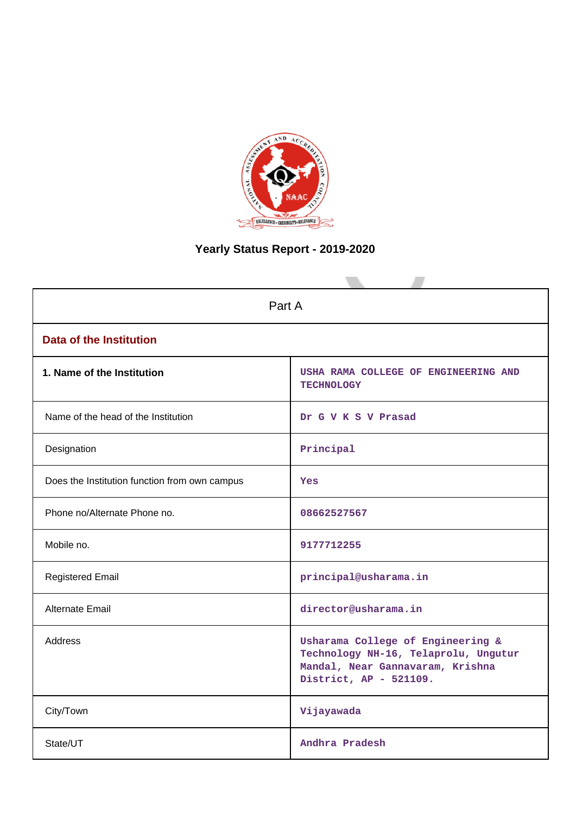

## **Yearly Status Report - 2019-2020**

| Part A                                        |                                                                                                                                         |  |  |  |  |  |
|-----------------------------------------------|-----------------------------------------------------------------------------------------------------------------------------------------|--|--|--|--|--|
| <b>Data of the Institution</b>                |                                                                                                                                         |  |  |  |  |  |
| 1. Name of the Institution                    | USHA RAMA COLLEGE OF ENGINEERING AND<br><b>TECHNOLOGY</b>                                                                               |  |  |  |  |  |
| Name of the head of the Institution           | Dr G V K S V Prasad                                                                                                                     |  |  |  |  |  |
| Designation                                   | Principal                                                                                                                               |  |  |  |  |  |
| Does the Institution function from own campus | Yes                                                                                                                                     |  |  |  |  |  |
| Phone no/Alternate Phone no.                  | 08662527567                                                                                                                             |  |  |  |  |  |
| Mobile no.                                    | 9177712255                                                                                                                              |  |  |  |  |  |
| <b>Registered Email</b>                       | principal@usharama.in                                                                                                                   |  |  |  |  |  |
| Alternate Email                               | director@usharama.in                                                                                                                    |  |  |  |  |  |
| <b>Address</b>                                | Usharama College of Engineering &<br>Technology NH-16, Telaprolu, Ungutur<br>Mandal, Near Gannavaram, Krishna<br>District, AP - 521109. |  |  |  |  |  |
| City/Town                                     | Vijayawada                                                                                                                              |  |  |  |  |  |
| State/UT                                      | Andhra Pradesh                                                                                                                          |  |  |  |  |  |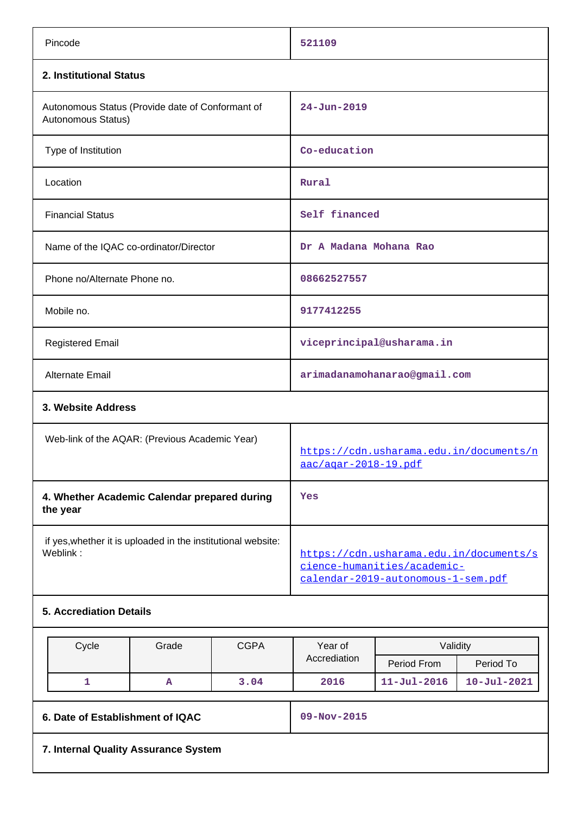| Pincode                                                                  |             | 521109                                                                                                       |                           |                   |  |
|--------------------------------------------------------------------------|-------------|--------------------------------------------------------------------------------------------------------------|---------------------------|-------------------|--|
| 2. Institutional Status                                                  |             |                                                                                                              |                           |                   |  |
| Autonomous Status (Provide date of Conformant of<br>Autonomous Status)   |             | $24 - Jun - 2019$                                                                                            |                           |                   |  |
| Type of Institution                                                      |             | Co-education                                                                                                 |                           |                   |  |
| Location                                                                 |             | Rural                                                                                                        |                           |                   |  |
| <b>Financial Status</b>                                                  |             | Self financed                                                                                                |                           |                   |  |
| Name of the IQAC co-ordinator/Director                                   |             | Dr A Madana Mohana Rao                                                                                       |                           |                   |  |
| Phone no/Alternate Phone no.                                             |             | 08662527557                                                                                                  |                           |                   |  |
| Mobile no.                                                               |             | 9177412255                                                                                                   |                           |                   |  |
| <b>Registered Email</b>                                                  |             |                                                                                                              | viceprincipal@usharama.in |                   |  |
| Alternate Email                                                          |             | arimadanamohanarao@gmail.com                                                                                 |                           |                   |  |
| 3. Website Address                                                       |             |                                                                                                              |                           |                   |  |
| Web-link of the AQAR: (Previous Academic Year)                           |             | https://cdn.usharama.edu.in/documents/n<br><u>aac/agar-2018-19.pdf</u>                                       |                           |                   |  |
| 4. Whether Academic Calendar prepared during<br>the year                 |             | Yes                                                                                                          |                           |                   |  |
| if yes, whether it is uploaded in the institutional website:<br>Weblink: |             | https://cdn.usharama.edu.in/documents/s<br>cience-humanities/academic-<br>calendar-2019-autonomous-1-sem.pdf |                           |                   |  |
| <b>5. Accrediation Details</b>                                           |             |                                                                                                              |                           |                   |  |
| Cycle<br>Grade                                                           | <b>CGPA</b> | Year of                                                                                                      |                           | Validity          |  |
|                                                                          |             | Accrediation                                                                                                 | Period From               | Period To         |  |
| $\mathbf{1}$<br>Α                                                        | 3.04        | 2016                                                                                                         | $11 - Jul - 2016$         | $10 - Jul - 2021$ |  |
| 6. Date of Establishment of IQAC                                         |             | 09-Nov-2015                                                                                                  |                           |                   |  |
| 7. Internal Quality Assurance System                                     |             |                                                                                                              |                           |                   |  |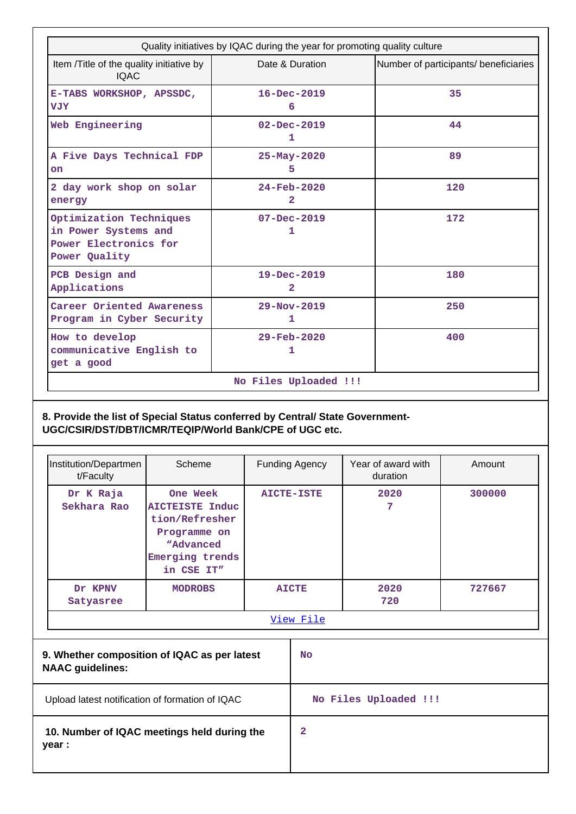| Quality initiatives by IQAC during the year for promoting quality culture                 |                                     |                                       |  |  |  |  |  |
|-------------------------------------------------------------------------------------------|-------------------------------------|---------------------------------------|--|--|--|--|--|
| Item /Title of the quality initiative by<br><b>IOAC</b>                                   | Date & Duration                     | Number of participants/ beneficiaries |  |  |  |  |  |
| E-TABS WORKSHOP, APSSDC,<br><b>VJY</b>                                                    | $16 - Dec - 2019$<br>6              | 35                                    |  |  |  |  |  |
| Web Engineering                                                                           | $02 - Dec - 2019$<br>1              | 44                                    |  |  |  |  |  |
| A Five Days Technical FDP<br>on                                                           | $25 - May - 2020$<br>5.             | 89                                    |  |  |  |  |  |
| 2 day work shop on solar<br>energy                                                        | $24 - Feb - 2020$<br>$\overline{2}$ | 120                                   |  |  |  |  |  |
| Optimization Techniques<br>in Power Systems and<br>Power Electronics for<br>Power Quality | $07 - Dec - 2019$<br>1              | 172                                   |  |  |  |  |  |
| PCB Design and<br>Applications                                                            | 19-Dec-2019<br>$\mathbf{2}$         | 180                                   |  |  |  |  |  |
| Career Oriented Awareness<br>Program in Cyber Security                                    | $29 - Nov - 2019$<br>1              | 250                                   |  |  |  |  |  |
| How to develop<br>communicative English to<br>get a good                                  | $29 - \text{Feb} - 2020$<br>1       | 400                                   |  |  |  |  |  |
| No Files Uploaded !!!                                                                     |                                     |                                       |  |  |  |  |  |

## **8. Provide the list of Special Status conferred by Central/ State Government-UGC/CSIR/DST/DBT/ICMR/TEQIP/World Bank/CPE of UGC etc.**

| Institution/Departmen<br>t/Faculty | Scheme                                                                                                              |                   | <b>Funding Agency</b> | Year of award with<br>duration | Amount |           |        |
|------------------------------------|---------------------------------------------------------------------------------------------------------------------|-------------------|-----------------------|--------------------------------|--------|-----------|--------|
| Dr K Raja<br>Sekhara Rao           | One Week<br><b>AICTEISTE Induc</b><br>tion/Refresher<br>Programme on<br>"Advanced"<br>Emerging trends<br>in CSE IT" | <b>AICTE-ISTE</b> |                       |                                |        | 2020<br>7 | 300000 |
| Dr KPNV<br>Satyasree               | <b>MODROBS</b>                                                                                                      | <b>AICTE</b>      |                       | 2020<br>720                    | 727667 |           |        |
|                                    |                                                                                                                     |                   | <u>View File</u>      |                                |        |           |        |
| <b>NAAC</b> guidelines:            | 9. Whether composition of IQAC as per latest                                                                        |                   | <b>No</b>             |                                |        |           |        |
|                                    | Upload latest notification of formation of IQAC                                                                     |                   |                       | No Files Uploaded !!!          |        |           |        |

 **10. Number of IQAC meetings held during the year :**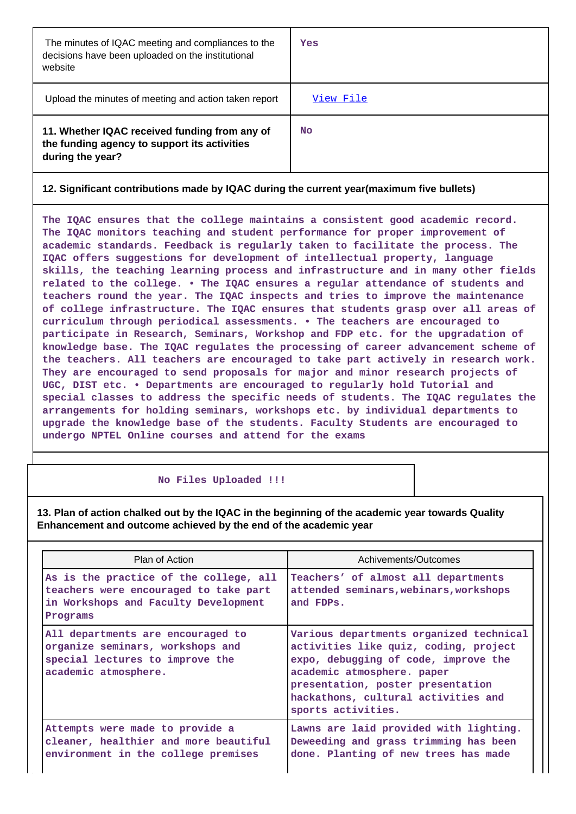| The minutes of IQAC meeting and compliances to the<br>decisions have been uploaded on the institutional<br>website | Yes       |
|--------------------------------------------------------------------------------------------------------------------|-----------|
| Upload the minutes of meeting and action taken report                                                              | View File |
| 11. Whether IQAC received funding from any of<br>the funding agency to support its activities<br>during the year?  | <b>No</b> |

### **12. Significant contributions made by IQAC during the current year(maximum five bullets)**

**The IQAC ensures that the college maintains a consistent good academic record. The IQAC monitors teaching and student performance for proper improvement of academic standards. Feedback is regularly taken to facilitate the process. The IQAC offers suggestions for development of intellectual property, language skills, the teaching learning process and infrastructure and in many other fields related to the college. • The IQAC ensures a regular attendance of students and teachers round the year. The IQAC inspects and tries to improve the maintenance of college infrastructure. The IQAC ensures that students grasp over all areas of curriculum through periodical assessments. • The teachers are encouraged to participate in Research, Seminars, Workshop and FDP etc. for the upgradation of knowledge base. The IQAC regulates the processing of career advancement scheme of the teachers. All teachers are encouraged to take part actively in research work. They are encouraged to send proposals for major and minor research projects of UGC, DIST etc. • Departments are encouraged to regularly hold Tutorial and special classes to address the specific needs of students. The IQAC regulates the arrangements for holding seminars, workshops etc. by individual departments to upgrade the knowledge base of the students. Faculty Students are encouraged to undergo NPTEL Online courses and attend for the exams**

#### **No Files Uploaded !!!**

**13. Plan of action chalked out by the IQAC in the beginning of the academic year towards Quality Enhancement and outcome achieved by the end of the academic year**

| Plan of Action                                                                                                                      | Achivements/Outcomes                                                                                                                                                                                                                                     |
|-------------------------------------------------------------------------------------------------------------------------------------|----------------------------------------------------------------------------------------------------------------------------------------------------------------------------------------------------------------------------------------------------------|
| As is the practice of the college, all<br>teachers were encouraged to take part<br>in Workshops and Faculty Development<br>Programs | Teachers' of almost all departments<br>attended seminars, webinars, workshops<br>and FDPs.                                                                                                                                                               |
| All departments are encouraged to<br>organize seminars, workshops and<br>special lectures to improve the<br>academic atmosphere.    | Various departments organized technical<br>activities like quiz, coding, project<br>expo, debugging of code, improve the<br>academic atmosphere. paper<br>presentation, poster presentation<br>hackathons, cultural activities and<br>sports activities. |
| Attempts were made to provide a<br>cleaner, healthier and more beautiful<br>environment in the college premises                     | Lawns are laid provided with lighting.<br>Deweeding and grass trimming has been<br>done. Planting of new trees has made                                                                                                                                  |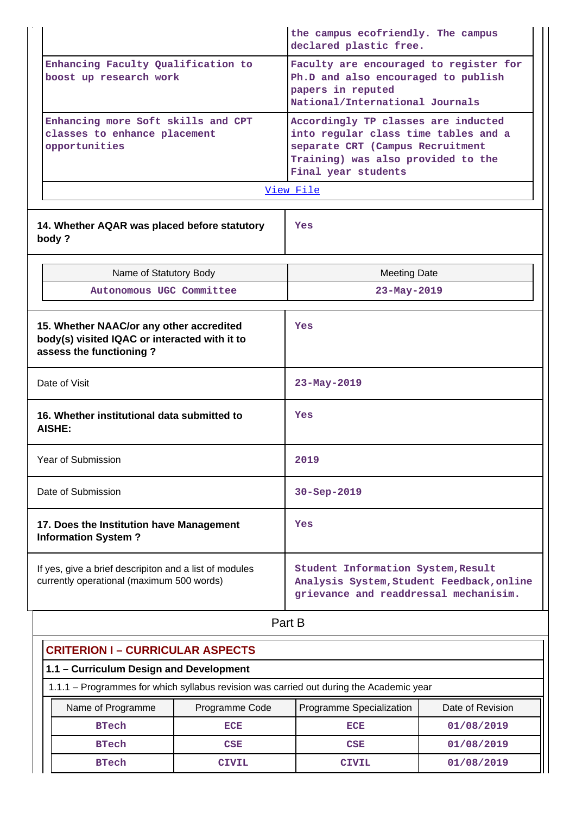|                                                                                                                      | the campus ecofriendly. The campus<br>declared plastic free.                                                                                                                 |  |  |  |  |  |
|----------------------------------------------------------------------------------------------------------------------|------------------------------------------------------------------------------------------------------------------------------------------------------------------------------|--|--|--|--|--|
| Enhancing Faculty Qualification to<br>boost up research work                                                         | Faculty are encouraged to register for<br>Ph.D and also encouraged to publish<br>papers in reputed<br>National/International Journals                                        |  |  |  |  |  |
| Enhancing more Soft skills and CPT<br>classes to enhance placement<br>opportunities                                  | Accordingly TP classes are inducted<br>into regular class time tables and a<br>separate CRT (Campus Recruitment<br>Training) was also provided to the<br>Final year students |  |  |  |  |  |
|                                                                                                                      | <u>View File</u>                                                                                                                                                             |  |  |  |  |  |
| 14. Whether AQAR was placed before statutory<br>body?                                                                | Yes                                                                                                                                                                          |  |  |  |  |  |
| Name of Statutory Body                                                                                               | <b>Meeting Date</b>                                                                                                                                                          |  |  |  |  |  |
| Autonomous UGC Committee                                                                                             | 23-May-2019                                                                                                                                                                  |  |  |  |  |  |
| 15. Whether NAAC/or any other accredited<br>body(s) visited IQAC or interacted with it to<br>assess the functioning? | Yes                                                                                                                                                                          |  |  |  |  |  |
| Date of Visit                                                                                                        | 23-May-2019                                                                                                                                                                  |  |  |  |  |  |
| 16. Whether institutional data submitted to<br>AISHE:                                                                | Yes                                                                                                                                                                          |  |  |  |  |  |
| Year of Submission                                                                                                   | 2019                                                                                                                                                                         |  |  |  |  |  |
| Date of Submission                                                                                                   | 30-Sep-2019                                                                                                                                                                  |  |  |  |  |  |
| 17. Does the Institution have Management<br><b>Information System?</b>                                               | Yes                                                                                                                                                                          |  |  |  |  |  |
| If yes, give a brief descripiton and a list of modules<br>currently operational (maximum 500 words)                  | Student Information System, Result<br>Analysis System, Student Feedback, online<br>grievance and readdressal mechanisim.                                                     |  |  |  |  |  |
|                                                                                                                      | Part B                                                                                                                                                                       |  |  |  |  |  |

| <b>CRITERION I - CURRICULAR ASPECTS</b>                                                 |                   |                |                          |                  |  |  |  |  |  |
|-----------------------------------------------------------------------------------------|-------------------|----------------|--------------------------|------------------|--|--|--|--|--|
| 1.1 - Curriculum Design and Development                                                 |                   |                |                          |                  |  |  |  |  |  |
| 1.1.1 - Programmes for which syllabus revision was carried out during the Academic year |                   |                |                          |                  |  |  |  |  |  |
|                                                                                         | Name of Programme | Programme Code | Programme Specialization | Date of Revision |  |  |  |  |  |
|                                                                                         | <b>BTech</b>      | <b>ECE</b>     | ECE                      | 01/08/2019       |  |  |  |  |  |
|                                                                                         | <b>BTech</b>      | CSE            | <b>CSE</b>               | 01/08/2019       |  |  |  |  |  |
|                                                                                         | <b>BTech</b>      | CTVTT.         | <b>CIVIL</b>             | 01/08/2019       |  |  |  |  |  |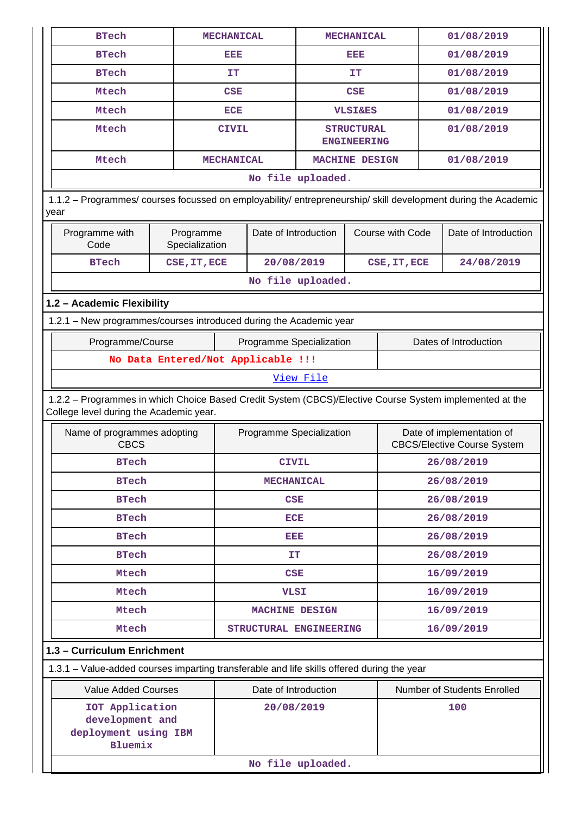| <b>BTech</b>                                                                                                                                       |                                    | <b>MECHANICAL</b> |                          | <b>MECHANICAL</b> |                                         |                  | 01/08/2019 |                                                                 |
|----------------------------------------------------------------------------------------------------------------------------------------------------|------------------------------------|-------------------|--------------------------|-------------------|-----------------------------------------|------------------|------------|-----------------------------------------------------------------|
| <b>BTech</b>                                                                                                                                       | EEE                                | EEE               |                          |                   | 01/08/2019                              |                  |            |                                                                 |
| <b>BTech</b>                                                                                                                                       |                                    | IΤ                |                          |                   | IT                                      |                  | 01/08/2019 |                                                                 |
| Mtech                                                                                                                                              |                                    | <b>CSE</b>        |                          | <b>CSE</b>        |                                         |                  |            | 01/08/2019                                                      |
| Mtech                                                                                                                                              |                                    | ECE               |                          |                   | <b>VLSI&amp;ES</b>                      |                  |            | 01/08/2019                                                      |
| Mtech                                                                                                                                              |                                    | <b>CIVIL</b>      |                          |                   | <b>STRUCTURAL</b><br><b>ENGINEERING</b> |                  |            | 01/08/2019                                                      |
| Mtech                                                                                                                                              |                                    | <b>MECHANICAL</b> |                          | MACHINE DESIGN    |                                         |                  |            | 01/08/2019                                                      |
|                                                                                                                                                    |                                    |                   |                          | No file uploaded. |                                         |                  |            |                                                                 |
| 1.1.2 - Programmes/ courses focussed on employability/ entrepreneurship/ skill development during the Academic<br>year                             |                                    |                   |                          |                   |                                         |                  |            |                                                                 |
| Programme with<br>Code                                                                                                                             | Programme<br>Specialization        |                   | Date of Introduction     |                   |                                         | Course with Code |            | Date of Introduction                                            |
| <b>BTech</b>                                                                                                                                       | CSE, IT, ECE                       |                   | 20/08/2019               |                   |                                         | CSE, IT, ECE     |            | 24/08/2019                                                      |
|                                                                                                                                                    |                                    |                   |                          | No file uploaded. |                                         |                  |            |                                                                 |
| 1.2 - Academic Flexibility                                                                                                                         |                                    |                   |                          |                   |                                         |                  |            |                                                                 |
| 1.2.1 - New programmes/courses introduced during the Academic year                                                                                 |                                    |                   |                          |                   |                                         |                  |            |                                                                 |
| Programme/Course                                                                                                                                   |                                    |                   | Programme Specialization |                   |                                         |                  |            | Dates of Introduction                                           |
|                                                                                                                                                    | No Data Entered/Not Applicable !!! |                   |                          |                   |                                         |                  |            |                                                                 |
|                                                                                                                                                    |                                    |                   |                          | View File         |                                         |                  |            |                                                                 |
| 1.2.2 - Programmes in which Choice Based Credit System (CBCS)/Elective Course System implemented at the<br>College level during the Academic year. |                                    |                   |                          |                   |                                         |                  |            |                                                                 |
| Name of programmes adopting<br><b>CBCS</b>                                                                                                         |                                    |                   | Programme Specialization |                   |                                         |                  |            | Date of implementation of<br><b>CBCS/Elective Course System</b> |
| <b>BTech</b>                                                                                                                                       |                                    | <b>CIVIL</b>      |                          |                   | 26/08/2019                              |                  |            |                                                                 |
| <b>BTech</b>                                                                                                                                       |                                    | <b>MECHANICAL</b> |                          |                   | 26/08/2019                              |                  |            |                                                                 |
| <b>BTech</b>                                                                                                                                       |                                    | CSE               |                          |                   | 26/08/2019                              |                  |            |                                                                 |
| <b>BTech</b>                                                                                                                                       |                                    | <b>ECE</b>        |                          |                   | 26/08/2019                              |                  |            |                                                                 |
| <b>BTech</b>                                                                                                                                       |                                    | eisie             |                          |                   | 26/08/2019                              |                  |            |                                                                 |
| <b>BTech</b>                                                                                                                                       |                                    | IT.               |                          |                   | 26/08/2019                              |                  |            |                                                                 |
| Mtech                                                                                                                                              |                                    | <b>CSE</b>        |                          |                   |                                         | 16/09/2019       |            |                                                                 |
| Mtech                                                                                                                                              |                                    | <b>VLSI</b>       |                          |                   |                                         | 16/09/2019       |            |                                                                 |
| Mtech                                                                                                                                              |                                    |                   | MACHINE DESIGN           |                   |                                         | 16/09/2019       |            |                                                                 |
| Mtech                                                                                                                                              |                                    |                   | STRUCTURAL ENGINEERING   |                   |                                         |                  |            | 16/09/2019                                                      |
| 1.3 - Curriculum Enrichment                                                                                                                        |                                    |                   |                          |                   |                                         |                  |            |                                                                 |
| 1.3.1 - Value-added courses imparting transferable and life skills offered during the year                                                         |                                    |                   |                          |                   |                                         |                  |            |                                                                 |
| <b>Value Added Courses</b>                                                                                                                         |                                    |                   | Date of Introduction     |                   |                                         |                  |            | Number of Students Enrolled                                     |
| IOT Application<br>development and<br>deployment using IBM<br><b>Bluemix</b>                                                                       |                                    | 20/08/2019        |                          |                   |                                         |                  | 100        |                                                                 |
|                                                                                                                                                    |                                    |                   |                          | No file uploaded. |                                         |                  |            |                                                                 |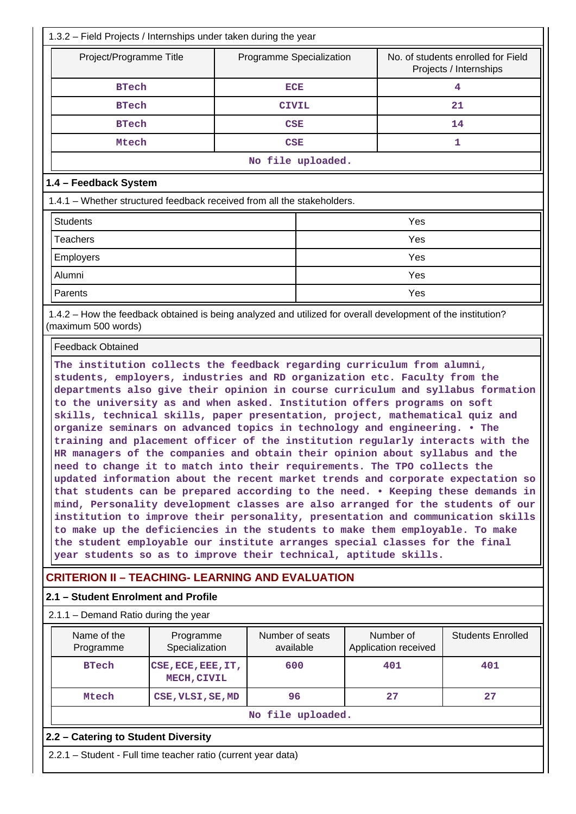| 1.3.2 – Field Projects / Internships under taken during the year                                                                                                                                                                                                                                                                                                                                                                                                                                                                                                                                                                                                                                                                                                                                                                                                                                                                                                                                                                                                                                                                                               |                              |                   |                                   |                                                              |  |  |  |  |  |
|----------------------------------------------------------------------------------------------------------------------------------------------------------------------------------------------------------------------------------------------------------------------------------------------------------------------------------------------------------------------------------------------------------------------------------------------------------------------------------------------------------------------------------------------------------------------------------------------------------------------------------------------------------------------------------------------------------------------------------------------------------------------------------------------------------------------------------------------------------------------------------------------------------------------------------------------------------------------------------------------------------------------------------------------------------------------------------------------------------------------------------------------------------------|------------------------------|-------------------|-----------------------------------|--------------------------------------------------------------|--|--|--|--|--|
| Project/Programme Title                                                                                                                                                                                                                                                                                                                                                                                                                                                                                                                                                                                                                                                                                                                                                                                                                                                                                                                                                                                                                                                                                                                                        | Programme Specialization     |                   |                                   | No. of students enrolled for Field<br>Projects / Internships |  |  |  |  |  |
| <b>BTech</b>                                                                                                                                                                                                                                                                                                                                                                                                                                                                                                                                                                                                                                                                                                                                                                                                                                                                                                                                                                                                                                                                                                                                                   | <b>ECE</b>                   |                   |                                   | 4                                                            |  |  |  |  |  |
| <b>BTech</b>                                                                                                                                                                                                                                                                                                                                                                                                                                                                                                                                                                                                                                                                                                                                                                                                                                                                                                                                                                                                                                                                                                                                                   | <b>CIVIL</b>                 |                   |                                   | 21                                                           |  |  |  |  |  |
| <b>BTech</b>                                                                                                                                                                                                                                                                                                                                                                                                                                                                                                                                                                                                                                                                                                                                                                                                                                                                                                                                                                                                                                                                                                                                                   | CSE                          |                   |                                   | 14                                                           |  |  |  |  |  |
| Mtech                                                                                                                                                                                                                                                                                                                                                                                                                                                                                                                                                                                                                                                                                                                                                                                                                                                                                                                                                                                                                                                                                                                                                          | CSE                          |                   |                                   | 1                                                            |  |  |  |  |  |
|                                                                                                                                                                                                                                                                                                                                                                                                                                                                                                                                                                                                                                                                                                                                                                                                                                                                                                                                                                                                                                                                                                                                                                |                              | No file uploaded. |                                   |                                                              |  |  |  |  |  |
| 1.4 - Feedback System                                                                                                                                                                                                                                                                                                                                                                                                                                                                                                                                                                                                                                                                                                                                                                                                                                                                                                                                                                                                                                                                                                                                          |                              |                   |                                   |                                                              |  |  |  |  |  |
| 1.4.1 – Whether structured feedback received from all the stakeholders.                                                                                                                                                                                                                                                                                                                                                                                                                                                                                                                                                                                                                                                                                                                                                                                                                                                                                                                                                                                                                                                                                        |                              |                   |                                   |                                                              |  |  |  |  |  |
| <b>Students</b><br>Yes                                                                                                                                                                                                                                                                                                                                                                                                                                                                                                                                                                                                                                                                                                                                                                                                                                                                                                                                                                                                                                                                                                                                         |                              |                   |                                   |                                                              |  |  |  |  |  |
| <b>Teachers</b>                                                                                                                                                                                                                                                                                                                                                                                                                                                                                                                                                                                                                                                                                                                                                                                                                                                                                                                                                                                                                                                                                                                                                |                              |                   | Yes                               |                                                              |  |  |  |  |  |
| <b>Employers</b>                                                                                                                                                                                                                                                                                                                                                                                                                                                                                                                                                                                                                                                                                                                                                                                                                                                                                                                                                                                                                                                                                                                                               |                              |                   | Yes                               |                                                              |  |  |  |  |  |
| Alumni                                                                                                                                                                                                                                                                                                                                                                                                                                                                                                                                                                                                                                                                                                                                                                                                                                                                                                                                                                                                                                                                                                                                                         |                              |                   | Yes                               |                                                              |  |  |  |  |  |
| Parents                                                                                                                                                                                                                                                                                                                                                                                                                                                                                                                                                                                                                                                                                                                                                                                                                                                                                                                                                                                                                                                                                                                                                        |                              |                   | Yes                               |                                                              |  |  |  |  |  |
| 1.4.2 – How the feedback obtained is being analyzed and utilized for overall development of the institution?<br>(maximum 500 words)                                                                                                                                                                                                                                                                                                                                                                                                                                                                                                                                                                                                                                                                                                                                                                                                                                                                                                                                                                                                                            |                              |                   |                                   |                                                              |  |  |  |  |  |
| <b>Feedback Obtained</b>                                                                                                                                                                                                                                                                                                                                                                                                                                                                                                                                                                                                                                                                                                                                                                                                                                                                                                                                                                                                                                                                                                                                       |                              |                   |                                   |                                                              |  |  |  |  |  |
| students, employers, industries and RD organization etc. Faculty from the<br>departments also give their opinion in course curriculum and syllabus formation<br>to the university as and when asked. Institution offers programs on soft<br>skills, technical skills, paper presentation, project, mathematical quiz and<br>organize seminars on advanced topics in technology and engineering. . The<br>training and placement officer of the institution regularly interacts with the<br>HR managers of the companies and obtain their opinion about syllabus and the<br>need to change it to match into their requirements. The TPO collects the<br>updated information about the recent market trends and corporate expectation so<br>that students can be prepared according to the need. . Keeping these demands in<br>mind, Personality development classes are also arranged for the students of our<br>institution to improve their personality, presentation and communication skills<br>to make up the deficiencies in the students to make them employable. To make<br>the student employable our institute arranges special classes for the final |                              |                   |                                   |                                                              |  |  |  |  |  |
| <b>CRITERION II - TEACHING- LEARNING AND EVALUATION</b>                                                                                                                                                                                                                                                                                                                                                                                                                                                                                                                                                                                                                                                                                                                                                                                                                                                                                                                                                                                                                                                                                                        |                              |                   |                                   |                                                              |  |  |  |  |  |
| 2.1 - Student Enrolment and Profile                                                                                                                                                                                                                                                                                                                                                                                                                                                                                                                                                                                                                                                                                                                                                                                                                                                                                                                                                                                                                                                                                                                            |                              |                   |                                   |                                                              |  |  |  |  |  |
| 2.1.1 - Demand Ratio during the year                                                                                                                                                                                                                                                                                                                                                                                                                                                                                                                                                                                                                                                                                                                                                                                                                                                                                                                                                                                                                                                                                                                           |                              |                   |                                   |                                                              |  |  |  |  |  |
| Name of the<br>Programme<br>Programme<br>Specialization                                                                                                                                                                                                                                                                                                                                                                                                                                                                                                                                                                                                                                                                                                                                                                                                                                                                                                                                                                                                                                                                                                        | Number of seats<br>available |                   | Number of<br>Application received | <b>Students Enrolled</b>                                     |  |  |  |  |  |
| <b>BTech</b><br>CSE, ECE, EEE, IT,<br>MECH, CIVIL                                                                                                                                                                                                                                                                                                                                                                                                                                                                                                                                                                                                                                                                                                                                                                                                                                                                                                                                                                                                                                                                                                              | 600                          |                   | 401                               | 401                                                          |  |  |  |  |  |
| Mtech<br>CSE, VLSI, SE, MD                                                                                                                                                                                                                                                                                                                                                                                                                                                                                                                                                                                                                                                                                                                                                                                                                                                                                                                                                                                                                                                                                                                                     |                              | 96                | 27                                | 27                                                           |  |  |  |  |  |
|                                                                                                                                                                                                                                                                                                                                                                                                                                                                                                                                                                                                                                                                                                                                                                                                                                                                                                                                                                                                                                                                                                                                                                |                              | No file uploaded. |                                   |                                                              |  |  |  |  |  |
| 2.2 - Catering to Student Diversity                                                                                                                                                                                                                                                                                                                                                                                                                                                                                                                                                                                                                                                                                                                                                                                                                                                                                                                                                                                                                                                                                                                            |                              |                   |                                   |                                                              |  |  |  |  |  |
| 2.2.1 - Student - Full time teacher ratio (current year data)                                                                                                                                                                                                                                                                                                                                                                                                                                                                                                                                                                                                                                                                                                                                                                                                                                                                                                                                                                                                                                                                                                  |                              |                   |                                   |                                                              |  |  |  |  |  |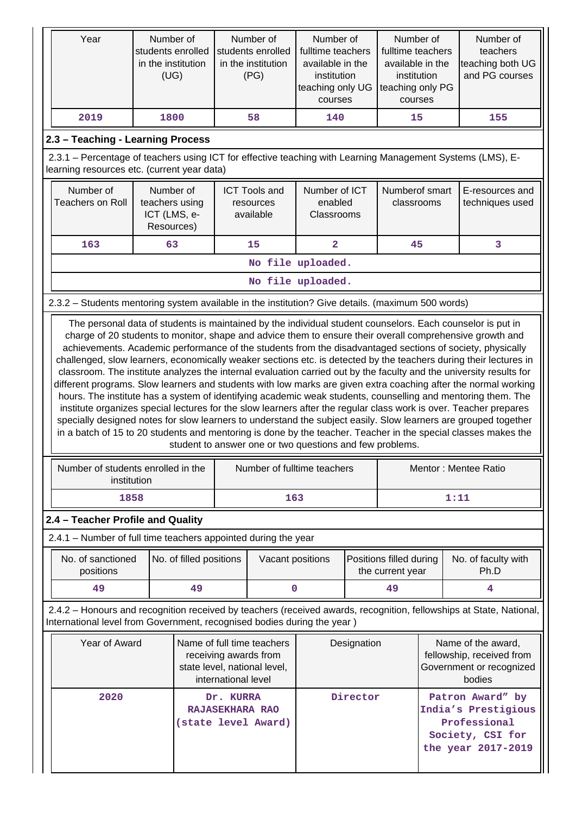| Year                                                                                                                                                                                                                                                                                                                                                                                                                                                                                                                                                                                                                                                                                                                                                                                                                                                                                                                                                                                                                                                                                                                       | Number of<br>students enrolled<br>in the institution<br>(UG)                        |                         | Number of<br>students enrolled<br>in the institution<br>(PG) |                                                | Number of<br>fulltime teachers<br>available in the<br>institution<br>teaching only UG<br>courses |                                                                                       | Number of<br>fulltime teachers<br>available in the<br>institution<br>teaching only PG<br>courses |                                                                                                   | Number of<br>teachers<br>teaching both UG<br>and PG courses                                                         |
|----------------------------------------------------------------------------------------------------------------------------------------------------------------------------------------------------------------------------------------------------------------------------------------------------------------------------------------------------------------------------------------------------------------------------------------------------------------------------------------------------------------------------------------------------------------------------------------------------------------------------------------------------------------------------------------------------------------------------------------------------------------------------------------------------------------------------------------------------------------------------------------------------------------------------------------------------------------------------------------------------------------------------------------------------------------------------------------------------------------------------|-------------------------------------------------------------------------------------|-------------------------|--------------------------------------------------------------|------------------------------------------------|--------------------------------------------------------------------------------------------------|---------------------------------------------------------------------------------------|--------------------------------------------------------------------------------------------------|---------------------------------------------------------------------------------------------------|---------------------------------------------------------------------------------------------------------------------|
| 2019                                                                                                                                                                                                                                                                                                                                                                                                                                                                                                                                                                                                                                                                                                                                                                                                                                                                                                                                                                                                                                                                                                                       | 1800                                                                                |                         |                                                              | 58                                             | 140                                                                                              |                                                                                       | 15                                                                                               |                                                                                                   | 155                                                                                                                 |
| 2.3 - Teaching - Learning Process                                                                                                                                                                                                                                                                                                                                                                                                                                                                                                                                                                                                                                                                                                                                                                                                                                                                                                                                                                                                                                                                                          |                                                                                     |                         |                                                              |                                                |                                                                                                  |                                                                                       |                                                                                                  |                                                                                                   |                                                                                                                     |
| 2.3.1 – Percentage of teachers using ICT for effective teaching with Learning Management Systems (LMS), E-<br>learning resources etc. (current year data)                                                                                                                                                                                                                                                                                                                                                                                                                                                                                                                                                                                                                                                                                                                                                                                                                                                                                                                                                                  |                                                                                     |                         |                                                              |                                                |                                                                                                  |                                                                                       |                                                                                                  |                                                                                                   |                                                                                                                     |
| Number of<br><b>Teachers on Roll</b>                                                                                                                                                                                                                                                                                                                                                                                                                                                                                                                                                                                                                                                                                                                                                                                                                                                                                                                                                                                                                                                                                       | Number of<br>teachers using<br>ICT (LMS, e-<br>Resources)                           |                         |                                                              | <b>ICT Tools and</b><br>resources<br>available | Number of ICT<br>enabled<br>Classrooms                                                           |                                                                                       | Numberof smart<br>classrooms                                                                     |                                                                                                   | E-resources and<br>techniques used                                                                                  |
| 163                                                                                                                                                                                                                                                                                                                                                                                                                                                                                                                                                                                                                                                                                                                                                                                                                                                                                                                                                                                                                                                                                                                        | 63                                                                                  |                         |                                                              | 15                                             | $\overline{\mathbf{2}}$                                                                          |                                                                                       | 45                                                                                               |                                                                                                   | 3                                                                                                                   |
|                                                                                                                                                                                                                                                                                                                                                                                                                                                                                                                                                                                                                                                                                                                                                                                                                                                                                                                                                                                                                                                                                                                            |                                                                                     |                         |                                                              |                                                | No file uploaded.                                                                                |                                                                                       |                                                                                                  |                                                                                                   |                                                                                                                     |
|                                                                                                                                                                                                                                                                                                                                                                                                                                                                                                                                                                                                                                                                                                                                                                                                                                                                                                                                                                                                                                                                                                                            |                                                                                     |                         |                                                              |                                                | No file uploaded.                                                                                |                                                                                       |                                                                                                  |                                                                                                   |                                                                                                                     |
| 2.3.2 - Students mentoring system available in the institution? Give details. (maximum 500 words)                                                                                                                                                                                                                                                                                                                                                                                                                                                                                                                                                                                                                                                                                                                                                                                                                                                                                                                                                                                                                          |                                                                                     |                         |                                                              |                                                |                                                                                                  |                                                                                       |                                                                                                  |                                                                                                   |                                                                                                                     |
| charge of 20 students to monitor, shape and advice them to ensure their overall comprehensive growth and<br>achievements. Academic performance of the students from the disadvantaged sections of society, physically<br>challenged, slow learners, economically weaker sections etc. is detected by the teachers during their lectures in<br>classroom. The institute analyzes the internal evaluation carried out by the faculty and the university results for<br>different programs. Slow learners and students with low marks are given extra coaching after the normal working<br>hours. The institute has a system of identifying academic weak students, counselling and mentoring them. The<br>institute organizes special lectures for the slow learners after the regular class work is over. Teacher prepares<br>specially designed notes for slow learners to understand the subject easily. Slow learners are grouped together<br>in a batch of 15 to 20 students and mentoring is done by the teacher. Teacher in the special classes makes the<br>student to answer one or two questions and few problems. |                                                                                     |                         |                                                              |                                                |                                                                                                  |                                                                                       |                                                                                                  |                                                                                                   |                                                                                                                     |
| Number of students enrolled in the<br>institution                                                                                                                                                                                                                                                                                                                                                                                                                                                                                                                                                                                                                                                                                                                                                                                                                                                                                                                                                                                                                                                                          |                                                                                     |                         |                                                              |                                                | Number of fulltime teachers                                                                      |                                                                                       |                                                                                                  |                                                                                                   | Mentor: Mentee Ratio                                                                                                |
| 1858                                                                                                                                                                                                                                                                                                                                                                                                                                                                                                                                                                                                                                                                                                                                                                                                                                                                                                                                                                                                                                                                                                                       |                                                                                     |                         |                                                              | 163                                            |                                                                                                  |                                                                                       |                                                                                                  | 1:11                                                                                              |                                                                                                                     |
| 2.4 - Teacher Profile and Quality                                                                                                                                                                                                                                                                                                                                                                                                                                                                                                                                                                                                                                                                                                                                                                                                                                                                                                                                                                                                                                                                                          |                                                                                     |                         |                                                              |                                                |                                                                                                  |                                                                                       |                                                                                                  |                                                                                                   |                                                                                                                     |
| 2.4.1 – Number of full time teachers appointed during the year                                                                                                                                                                                                                                                                                                                                                                                                                                                                                                                                                                                                                                                                                                                                                                                                                                                                                                                                                                                                                                                             |                                                                                     |                         |                                                              |                                                |                                                                                                  |                                                                                       |                                                                                                  |                                                                                                   |                                                                                                                     |
| No. of sanctioned<br>positions                                                                                                                                                                                                                                                                                                                                                                                                                                                                                                                                                                                                                                                                                                                                                                                                                                                                                                                                                                                                                                                                                             |                                                                                     | No. of filled positions |                                                              | Vacant positions                               |                                                                                                  |                                                                                       | Positions filled during<br>the current year                                                      |                                                                                                   | No. of faculty with<br>Ph.D                                                                                         |
| 49                                                                                                                                                                                                                                                                                                                                                                                                                                                                                                                                                                                                                                                                                                                                                                                                                                                                                                                                                                                                                                                                                                                         |                                                                                     | 49                      |                                                              | 0                                              |                                                                                                  |                                                                                       | 49                                                                                               |                                                                                                   | 4                                                                                                                   |
| International level from Government, recognised bodies during the year)                                                                                                                                                                                                                                                                                                                                                                                                                                                                                                                                                                                                                                                                                                                                                                                                                                                                                                                                                                                                                                                    |                                                                                     |                         |                                                              |                                                |                                                                                                  |                                                                                       |                                                                                                  |                                                                                                   | 2.4.2 - Honours and recognition received by teachers (received awards, recognition, fellowships at State, National, |
| Year of Award                                                                                                                                                                                                                                                                                                                                                                                                                                                                                                                                                                                                                                                                                                                                                                                                                                                                                                                                                                                                                                                                                                              | Name of full time teachers<br>receiving awards from<br>state level, national level, |                         | Designation                                                  |                                                |                                                                                                  | Name of the award,<br>fellowship, received from<br>Government or recognized<br>bodies |                                                                                                  |                                                                                                   |                                                                                                                     |
| international level<br>2020<br>Dr. KURRA<br><b>RAJASEKHARA RAO</b><br>(state level Award)                                                                                                                                                                                                                                                                                                                                                                                                                                                                                                                                                                                                                                                                                                                                                                                                                                                                                                                                                                                                                                  |                                                                                     |                         |                                                              |                                                | Director                                                                                         |                                                                                       |                                                                                                  | Patron Award" by<br>India's Prestigious<br>Professional<br>Society, CSI for<br>the year 2017-2019 |                                                                                                                     |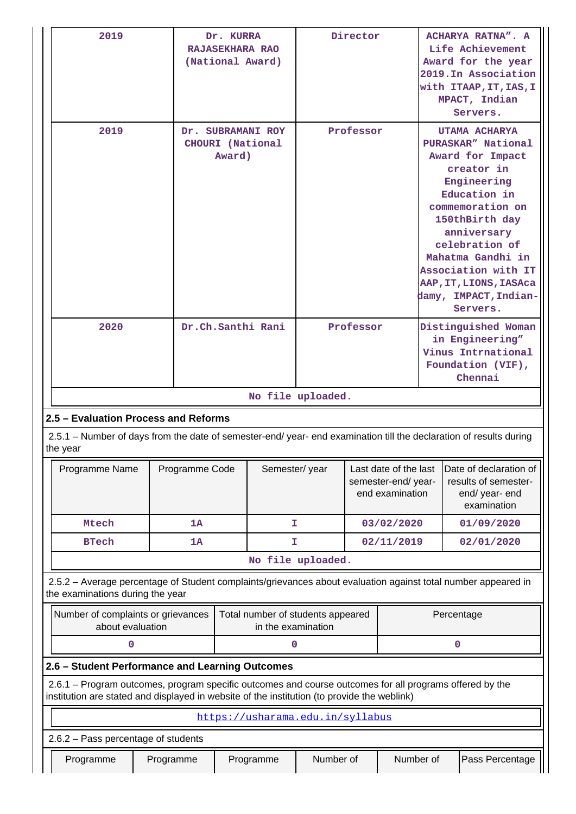| 2019                                                                                                                                                                                                   |                                                 | Dr. KURRA         | <b>RAJASEKHARA RAO</b><br>(National Award) | Director               |                                                                |            | ACHARYA RATNA". A<br>Life Achievement<br>Award for the year<br>2019. In Association<br>with ITAAP, IT, IAS, I<br>MPACT, Indian<br>Servers. |                                                                                                                                                                                                                                                                                        |
|--------------------------------------------------------------------------------------------------------------------------------------------------------------------------------------------------------|-------------------------------------------------|-------------------|--------------------------------------------|------------------------|----------------------------------------------------------------|------------|--------------------------------------------------------------------------------------------------------------------------------------------|----------------------------------------------------------------------------------------------------------------------------------------------------------------------------------------------------------------------------------------------------------------------------------------|
| 2019                                                                                                                                                                                                   | Dr. SUBRAMANI ROY<br>CHOURI (National<br>Award) |                   |                                            |                        | Professor                                                      |            |                                                                                                                                            | UTAMA ACHARYA<br>PURASKAR" National<br>Award for Impact<br>creator in<br>Engineering<br>Education in<br>commemoration on<br>150thBirth day<br>anniversary<br>celebration of<br>Mahatma Gandhi in<br>Association with IT<br>AAP, IT, LIONS, IASAca<br>damy, IMPACT, Indian-<br>Servers. |
| 2020                                                                                                                                                                                                   |                                                 | Dr.Ch.Santhi Rani |                                            | Professor              |                                                                |            | Distinguished Woman<br>in Engineering"<br>Vinus Intrnational<br>Foundation (VIF),<br>Chennai                                               |                                                                                                                                                                                                                                                                                        |
|                                                                                                                                                                                                        |                                                 |                   | No file uploaded.                          |                        |                                                                |            |                                                                                                                                            |                                                                                                                                                                                                                                                                                        |
| 2.5 - Evaluation Process and Reforms                                                                                                                                                                   |                                                 |                   |                                            |                        |                                                                |            |                                                                                                                                            |                                                                                                                                                                                                                                                                                        |
| 2.5.1 – Number of days from the date of semester-end/ year- end examination till the declaration of results during<br>the year                                                                         |                                                 |                   |                                            |                        |                                                                |            |                                                                                                                                            |                                                                                                                                                                                                                                                                                        |
| Programme Name                                                                                                                                                                                         | Programme Code                                  |                   | Semester/year                              |                        | Last date of the last<br>semester-end/year-<br>end examination |            |                                                                                                                                            | Date of declaration of<br>results of semester-<br>end/ year- end<br>examination                                                                                                                                                                                                        |
| Mtech                                                                                                                                                                                                  | 1A                                              |                   | T.                                         |                        |                                                                | 03/02/2020 |                                                                                                                                            | 01/09/2020                                                                                                                                                                                                                                                                             |
| <b>BTech</b>                                                                                                                                                                                           | 1A                                              |                   | T.                                         |                        |                                                                | 02/11/2019 |                                                                                                                                            | 02/01/2020                                                                                                                                                                                                                                                                             |
|                                                                                                                                                                                                        |                                                 |                   | No file uploaded.                          |                        |                                                                |            |                                                                                                                                            |                                                                                                                                                                                                                                                                                        |
| 2.5.2 - Average percentage of Student complaints/grievances about evaluation against total number appeared in<br>the examinations during the year                                                      |                                                 |                   |                                            |                        |                                                                |            |                                                                                                                                            |                                                                                                                                                                                                                                                                                        |
| Number of complaints or grievances<br>Total number of students appeared<br>in the examination<br>about evaluation                                                                                      |                                                 |                   |                                            |                        |                                                                |            | Percentage                                                                                                                                 |                                                                                                                                                                                                                                                                                        |
| 0<br>0                                                                                                                                                                                                 |                                                 |                   |                                            |                        |                                                                |            | 0                                                                                                                                          |                                                                                                                                                                                                                                                                                        |
| 2.6 - Student Performance and Learning Outcomes                                                                                                                                                        |                                                 |                   |                                            |                        |                                                                |            |                                                                                                                                            |                                                                                                                                                                                                                                                                                        |
| 2.6.1 – Program outcomes, program specific outcomes and course outcomes for all programs offered by the<br>institution are stated and displayed in website of the institution (to provide the weblink) |                                                 |                   |                                            |                        |                                                                |            |                                                                                                                                            |                                                                                                                                                                                                                                                                                        |
|                                                                                                                                                                                                        |                                                 |                   | https://usharama.edu.in/syllabus           |                        |                                                                |            |                                                                                                                                            |                                                                                                                                                                                                                                                                                        |
| 2.6.2 - Pass percentage of students                                                                                                                                                                    |                                                 |                   |                                            |                        |                                                                |            |                                                                                                                                            |                                                                                                                                                                                                                                                                                        |
| Programme                                                                                                                                                                                              | Programme                                       |                   | Programme                                  | Number of<br>Number of |                                                                |            |                                                                                                                                            | Pass Percentage                                                                                                                                                                                                                                                                        |

''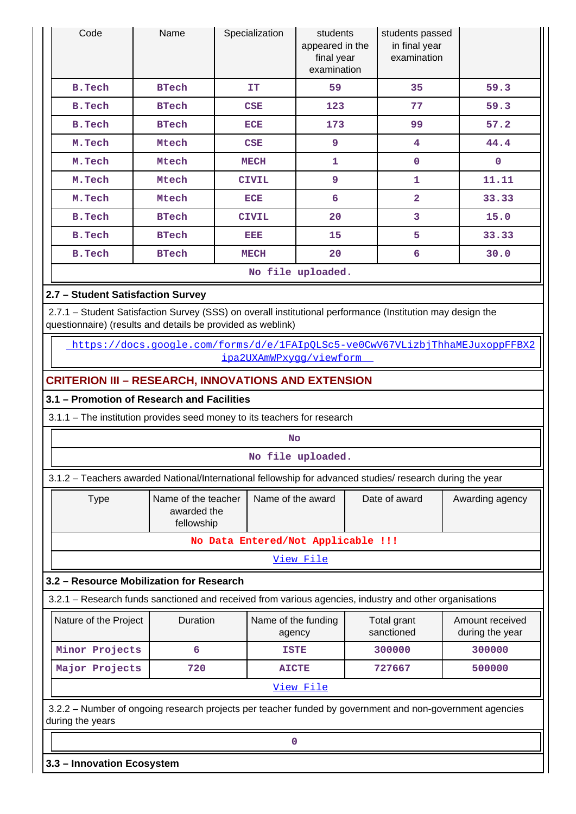| Code                                                                                                                                                                      | Name                      | Specialization                                                                                           | students<br>appeared in the<br>final year<br>examination | students passed<br>in final year<br>examination |                                                                              |  |  |
|---------------------------------------------------------------------------------------------------------------------------------------------------------------------------|---------------------------|----------------------------------------------------------------------------------------------------------|----------------------------------------------------------|-------------------------------------------------|------------------------------------------------------------------------------|--|--|
| <b>B.Tech</b>                                                                                                                                                             | <b>BTech</b>              | IT                                                                                                       | 59                                                       | 35                                              | 59.3                                                                         |  |  |
| <b>B.Tech</b>                                                                                                                                                             | <b>BTech</b>              | <b>CSE</b>                                                                                               | 123                                                      | 77                                              | 59.3                                                                         |  |  |
| <b>B.Tech</b>                                                                                                                                                             | <b>BTech</b>              | <b>ECE</b>                                                                                               | 173                                                      | 99                                              | 57.2                                                                         |  |  |
| M.Tech                                                                                                                                                                    | Mtech                     | <b>CSE</b>                                                                                               | 9                                                        | 4                                               | 44.4                                                                         |  |  |
| M.Tech                                                                                                                                                                    | Mtech                     | <b>MECH</b>                                                                                              | $\mathbf{0}$<br>1                                        |                                                 |                                                                              |  |  |
| M.Tech                                                                                                                                                                    | Mtech                     | 9<br>11.11<br>1<br><b>CIVIL</b>                                                                          |                                                          |                                                 |                                                                              |  |  |
| M.Tech                                                                                                                                                                    | Mtech                     | <b>ECE</b>                                                                                               | 6                                                        | $\overline{2}$                                  | 33.33                                                                        |  |  |
| <b>B.Tech</b>                                                                                                                                                             | <b>BTech</b>              | <b>CIVIL</b>                                                                                             | 20                                                       | 3                                               | 15.0                                                                         |  |  |
| <b>B.Tech</b>                                                                                                                                                             | <b>BTech</b>              | EEE                                                                                                      | 15                                                       | 5                                               | 33.33                                                                        |  |  |
| <b>B.Tech</b>                                                                                                                                                             | <b>BTech</b>              | <b>MECH</b>                                                                                              | 20                                                       | 6                                               | 30.0                                                                         |  |  |
|                                                                                                                                                                           |                           |                                                                                                          | No file uploaded.                                        |                                                 |                                                                              |  |  |
| 2.7 - Student Satisfaction Survey                                                                                                                                         |                           |                                                                                                          |                                                          |                                                 |                                                                              |  |  |
| 2.7.1 - Student Satisfaction Survey (SSS) on overall institutional performance (Institution may design the<br>questionnaire) (results and details be provided as weblink) |                           |                                                                                                          |                                                          |                                                 |                                                                              |  |  |
|                                                                                                                                                                           |                           | ipa2UXAmWPxygg/viewform                                                                                  |                                                          |                                                 | https://docs.google.com/forms/d/e/1FAIpOLSc5-ve0CwV67VLizbjThhaMEJuxoppFFBX2 |  |  |
| <b>CRITERION III - RESEARCH, INNOVATIONS AND EXTENSION</b>                                                                                                                |                           |                                                                                                          |                                                          |                                                 |                                                                              |  |  |
| 3.1 - Promotion of Research and Facilities                                                                                                                                |                           |                                                                                                          |                                                          |                                                 |                                                                              |  |  |
| 3.1.1 - The institution provides seed money to its teachers for research                                                                                                  |                           |                                                                                                          |                                                          |                                                 |                                                                              |  |  |
|                                                                                                                                                                           |                           |                                                                                                          | <b>No</b>                                                |                                                 |                                                                              |  |  |
|                                                                                                                                                                           |                           |                                                                                                          | No file uploaded.                                        |                                                 |                                                                              |  |  |
| 3.1.2 - Teachers awarded National/International fellowship for advanced studies/ research during the year                                                                 |                           |                                                                                                          |                                                          |                                                 |                                                                              |  |  |
| <b>Type</b>                                                                                                                                                               | Name of the teacher       |                                                                                                          | Name of the award                                        | Date of award                                   | Awarding agency                                                              |  |  |
|                                                                                                                                                                           | awarded the<br>fellowship |                                                                                                          |                                                          |                                                 |                                                                              |  |  |
|                                                                                                                                                                           |                           | No Data Entered/Not Applicable !!!                                                                       |                                                          |                                                 |                                                                              |  |  |
|                                                                                                                                                                           |                           |                                                                                                          | View File                                                |                                                 |                                                                              |  |  |
| 3.2 - Resource Mobilization for Research                                                                                                                                  |                           |                                                                                                          |                                                          |                                                 |                                                                              |  |  |
| 3.2.1 - Research funds sanctioned and received from various agencies, industry and other organisations                                                                    |                           |                                                                                                          |                                                          |                                                 |                                                                              |  |  |
| Nature of the Project                                                                                                                                                     | Duration                  |                                                                                                          | Name of the funding<br>agency                            | Total grant<br>sanctioned                       | Amount received<br>during the year                                           |  |  |
| Minor Projects                                                                                                                                                            | 6                         |                                                                                                          | <b>ISTE</b>                                              | 300000                                          | 300000                                                                       |  |  |
| Major Projects                                                                                                                                                            | 720                       |                                                                                                          | <b>AICTE</b>                                             | 727667                                          | 500000                                                                       |  |  |
|                                                                                                                                                                           |                           |                                                                                                          | View File                                                |                                                 |                                                                              |  |  |
|                                                                                                                                                                           |                           | 3.2.2 - Number of ongoing research projects per teacher funded by government and non-government agencies |                                                          |                                                 |                                                                              |  |  |

**0**

**3.3 – Innovation Ecosystem**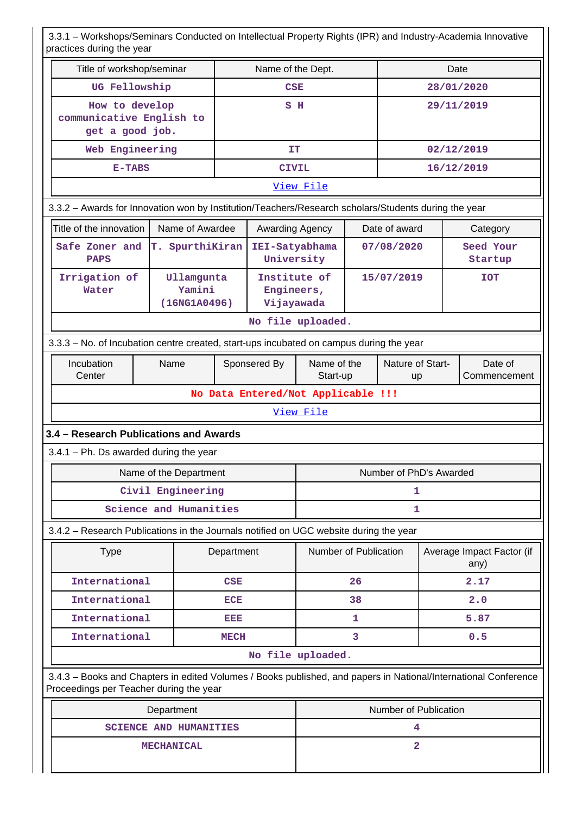3.3.1 – Workshops/Seminars Conducted on Intellectual Property Rights (IPR) and Industry-Academia Innovative practices during the year

|                                                                                                                                                            | practices during the year            |             |                                          |                         |                                                   |                |  |                                   |
|------------------------------------------------------------------------------------------------------------------------------------------------------------|--------------------------------------|-------------|------------------------------------------|-------------------------|---------------------------------------------------|----------------|--|-----------------------------------|
| Title of workshop/seminar                                                                                                                                  |                                      |             | Name of the Dept.                        |                         |                                                   |                |  | Date                              |
| UG Fellowship                                                                                                                                              |                                      |             | <b>CSE</b>                               |                         |                                                   |                |  | 28/01/2020                        |
| How to develop<br>communicative English to<br>get a good job.                                                                                              |                                      |             | S H                                      |                         |                                                   |                |  | 29/11/2019                        |
| Web Engineering                                                                                                                                            |                                      |             | IT                                       |                         |                                                   |                |  | 02/12/2019                        |
| $E-TABLES$                                                                                                                                                 |                                      |             | <b>CIVIL</b>                             |                         |                                                   |                |  | 16/12/2019                        |
|                                                                                                                                                            |                                      |             |                                          | View File               |                                                   |                |  |                                   |
| 3.3.2 - Awards for Innovation won by Institution/Teachers/Research scholars/Students during the year                                                       |                                      |             |                                          |                         |                                                   |                |  |                                   |
| Title of the innovation                                                                                                                                    | Name of Awardee                      |             |                                          | Awarding Agency         |                                                   | Date of award  |  | Category                          |
| Safe Zoner and<br><b>PAPS</b>                                                                                                                              | T. SpurthiKiran                      |             | IEI-Satyabhama<br>University             |                         |                                                   | 07/08/2020     |  | Seed Your<br>Startup              |
| Irrigation of<br>Water                                                                                                                                     | Ullamgunta<br>Yamini<br>(16NG1A0496) |             | Institute of<br>Engineers,<br>Vijayawada |                         |                                                   | 15/07/2019     |  | <b>TOT</b>                        |
|                                                                                                                                                            |                                      |             |                                          | No file uploaded.       |                                                   |                |  |                                   |
| 3.3.3 - No. of Incubation centre created, start-ups incubated on campus during the year                                                                    |                                      |             |                                          |                         |                                                   |                |  |                                   |
| Incubation<br>Center                                                                                                                                       | Name                                 |             | Sponsered By                             |                         | Name of the<br>Nature of Start-<br>Start-up<br>up |                |  | Date of<br>Commencement           |
|                                                                                                                                                            |                                      |             | No Data Entered/Not Applicable !!!       |                         |                                                   |                |  |                                   |
|                                                                                                                                                            |                                      |             |                                          | View File               |                                                   |                |  |                                   |
| 3.4 - Research Publications and Awards                                                                                                                     |                                      |             |                                          |                         |                                                   |                |  |                                   |
| $3.4.1$ – Ph. Ds awarded during the year                                                                                                                   |                                      |             |                                          |                         |                                                   |                |  |                                   |
|                                                                                                                                                            | Name of the Department               |             |                                          | Number of PhD's Awarded |                                                   |                |  |                                   |
|                                                                                                                                                            | Civil Engineering                    |             |                                          | 1                       |                                                   |                |  |                                   |
|                                                                                                                                                            | Science and Humanities               |             |                                          | 1                       |                                                   |                |  |                                   |
| 3.4.2 - Research Publications in the Journals notified on UGC website during the year                                                                      |                                      |             |                                          |                         |                                                   |                |  |                                   |
| <b>Type</b>                                                                                                                                                |                                      | Department  |                                          | Number of Publication   |                                                   |                |  | Average Impact Factor (if<br>any) |
| International                                                                                                                                              |                                      | <b>CSE</b>  |                                          |                         | 26                                                |                |  | 2.17                              |
| International                                                                                                                                              |                                      | <b>ECE</b>  |                                          |                         | 38                                                |                |  | 2.0                               |
| International                                                                                                                                              |                                      | DED         |                                          |                         | 1                                                 |                |  | 5.87                              |
| International                                                                                                                                              |                                      | <b>MECH</b> |                                          |                         | 3                                                 |                |  | 0.5                               |
|                                                                                                                                                            |                                      |             |                                          | No file uploaded.       |                                                   |                |  |                                   |
| 3.4.3 - Books and Chapters in edited Volumes / Books published, and papers in National/International Conference<br>Proceedings per Teacher during the year |                                      |             |                                          |                         |                                                   |                |  |                                   |
|                                                                                                                                                            | Department                           |             |                                          | Number of Publication   |                                                   |                |  |                                   |
|                                                                                                                                                            | <b>SCIENCE AND HUMANITIES</b>        |             |                                          |                         |                                                   | 4              |  |                                   |
|                                                                                                                                                            | <b>MECHANICAL</b>                    |             |                                          |                         |                                                   | $\overline{a}$ |  |                                   |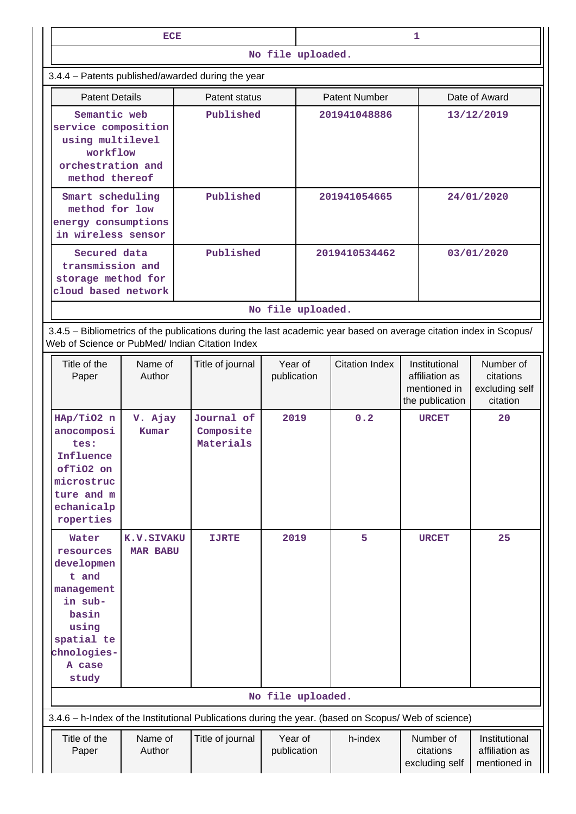|                                                                                                                                                                       | ECE                                                                                        |                                                                                                                          |                        | 1                 |                       |                                                                    |                                                      |  |  |
|-----------------------------------------------------------------------------------------------------------------------------------------------------------------------|--------------------------------------------------------------------------------------------|--------------------------------------------------------------------------------------------------------------------------|------------------------|-------------------|-----------------------|--------------------------------------------------------------------|------------------------------------------------------|--|--|
|                                                                                                                                                                       |                                                                                            |                                                                                                                          |                        | No file uploaded. |                       |                                                                    |                                                      |  |  |
|                                                                                                                                                                       |                                                                                            | 3.4.4 - Patents published/awarded during the year                                                                        |                        |                   |                       |                                                                    |                                                      |  |  |
| <b>Patent Details</b>                                                                                                                                                 |                                                                                            | Patent status                                                                                                            |                        |                   | <b>Patent Number</b>  |                                                                    | Date of Award                                        |  |  |
| Semantic web<br>service composition<br>using multilevel<br>workflow<br>orchestration and<br>method thereof                                                            |                                                                                            | Published                                                                                                                |                        |                   | 201941048886          |                                                                    | 13/12/2019                                           |  |  |
| Smart scheduling<br>method for low<br>energy consumptions<br>in wireless sensor                                                                                       |                                                                                            | Published                                                                                                                |                        |                   | 201941054665          |                                                                    | 24/01/2020                                           |  |  |
|                                                                                                                                                                       | Published<br>Secured data<br>transmission and<br>storage method for<br>cloud based network |                                                                                                                          |                        |                   | 2019410534462         |                                                                    | 03/01/2020                                           |  |  |
|                                                                                                                                                                       |                                                                                            |                                                                                                                          |                        | No file uploaded. |                       |                                                                    |                                                      |  |  |
| 3.4.5 - Bibliometrics of the publications during the last academic year based on average citation index in Scopus/<br>Web of Science or PubMed/ Indian Citation Index |                                                                                            |                                                                                                                          |                        |                   |                       |                                                                    |                                                      |  |  |
| Title of the<br>Paper                                                                                                                                                 | Name of<br>Author                                                                          | Year of<br>Title of journal<br>publication                                                                               |                        |                   | <b>Citation Index</b> | Institutional<br>affiliation as<br>mentioned in<br>the publication | Number of<br>citations<br>excluding self<br>citation |  |  |
| HAp/TiO2 n<br>anocomposi<br>tes:<br>Influence<br>ofTiO2 on<br>microstruc<br>ture and m<br>echanicalp<br>roperties                                                     | V. Ajay<br>Kumar                                                                           | Journal of<br>2019<br>Composite<br>Materials                                                                             |                        |                   | 0.2                   | <b>URCET</b>                                                       | 20                                                   |  |  |
| Water<br>resources<br>developmen<br>t and<br>management<br>in sub-<br>basin<br>using<br>spatial te<br>chnologies-<br>A case<br>study                                  | <b>K.V.SIVAKU</b><br><b>MAR BABU</b>                                                       | 2019<br><b>IJRTE</b>                                                                                                     |                        | No file uploaded. | 5                     | <b>URCET</b>                                                       | 25                                                   |  |  |
|                                                                                                                                                                       |                                                                                            |                                                                                                                          |                        |                   |                       |                                                                    |                                                      |  |  |
| Title of the<br>Paper                                                                                                                                                 | Name of<br>Author                                                                          | 3.4.6 - h-Index of the Institutional Publications during the year. (based on Scopus/ Web of science)<br>Title of journal | Year of<br>publication |                   | h-index               | Number of<br>citations<br>excluding self                           | Institutional<br>affiliation as<br>mentioned in      |  |  |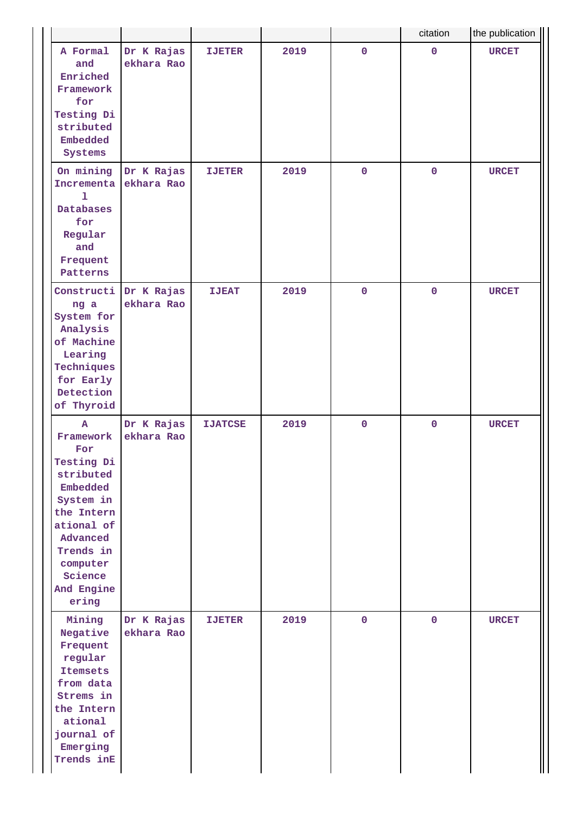|                                                                                                                                                                                         |                          |                |      |              | citation    | the publication |
|-----------------------------------------------------------------------------------------------------------------------------------------------------------------------------------------|--------------------------|----------------|------|--------------|-------------|-----------------|
| A Formal<br>and<br>Enriched<br>Framework<br>for<br>Testing Di<br>stributed<br>Embedded<br>Systems                                                                                       | Dr K Rajas<br>ekhara Rao | <b>IJETER</b>  | 2019 | $\mathbf 0$  | $\mathbf 0$ | <b>URCET</b>    |
| On mining<br>Incrementa<br>ı<br><b>Databases</b><br>for<br>Regular<br>and<br>Frequent<br>Patterns                                                                                       | Dr K Rajas<br>ekhara Rao | <b>IJETER</b>  | 2019 | $\mathbf 0$  | $\mathbf 0$ | <b>URCET</b>    |
| Constructi<br>ng a<br>System for<br>Analysis<br>of Machine<br>Learing<br>Techniques<br>for Early<br>Detection<br>of Thyroid                                                             | Dr K Rajas<br>ekhara Rao | <b>IJEAT</b>   | 2019 | $\mathbf 0$  | $\mathbf 0$ | <b>URCET</b>    |
| $\mathbf{A}$<br>Framework<br>For<br>Testing Di<br>stributed<br>Embedded<br>System in<br>the Intern<br>ational of<br>Advanced<br>Trends in<br>computer<br>Science<br>And Engine<br>ering | Dr K Rajas<br>ekhara Rao | <b>IJATCSE</b> | 2019 | $\mathbf 0$  | $\pmb{0}$   | <b>URCET</b>    |
| Mining<br>Negative<br>Frequent<br>regular<br>Itemsets<br>from data<br>Strems in<br>the Intern<br>ational<br>journal of<br>Emerging<br>Trends inE                                        | Dr K Rajas<br>ekhara Rao | <b>IJETER</b>  | 2019 | $\mathbf{O}$ | $\mathbf 0$ | <b>URCET</b>    |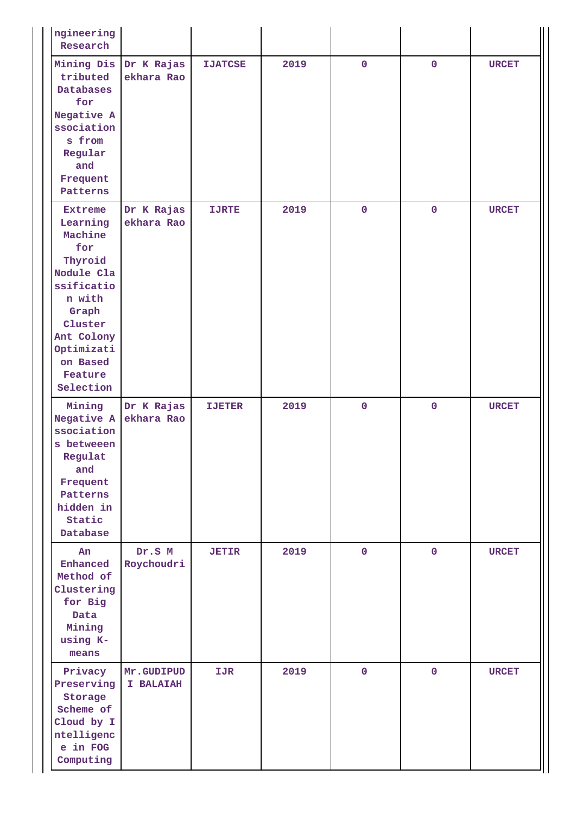| ngineering<br>Research                                                                                                                                                            |                                     |                |      |              |             |              |
|-----------------------------------------------------------------------------------------------------------------------------------------------------------------------------------|-------------------------------------|----------------|------|--------------|-------------|--------------|
| tributed<br><b>Databases</b><br>for<br>Negative A<br>ssociation<br>s from<br>Regular<br>and<br>Frequent<br>Patterns                                                               | Mining Dis Dr K Rajas<br>ekhara Rao | <b>IJATCSE</b> | 2019 | $\mathbf{O}$ | $\mathbf 0$ | <b>URCET</b> |
| <b>Extreme</b><br>Learning<br>Machine<br>for<br>Thyroid<br>Nodule Cla<br>ssificatio<br>n with<br>Graph<br>Cluster<br>Ant Colony<br>Optimizati<br>on Based<br>Feature<br>Selection | Dr K Rajas<br>ekhara Rao            | <b>IJRTE</b>   | 2019 | $\mathbf 0$  | $\mathbf 0$ | <b>URCET</b> |
| Mining<br>Negative A<br>ssociation<br>s betweeen<br>Regulat<br>and<br>Frequent<br>Patterns<br>hidden in<br>Static<br>Database                                                     | Dr K Rajas<br>ekhara Rao            | <b>IJETER</b>  | 2019 | $\mathbf 0$  | $\mathbf 0$ | <b>URCET</b> |
| An<br>Enhanced<br>Method of<br>Clustering<br>for Big<br>Data<br>Mining<br>using K-<br>means                                                                                       | Dr.S M<br>Roychoudri                | <b>JETIR</b>   | 2019 | $\mathbf{O}$ | $\mathbf 0$ | <b>URCET</b> |
| Privacy<br>Preserving<br>Storage<br>Scheme of<br>Cloud by I<br>ntelligenc<br>e in FOG<br>Computing                                                                                | Mr.GUDIPUD<br>I BALAIAH             | IJR            | 2019 | $\mathbf 0$  | $\pmb{0}$   | <b>URCET</b> |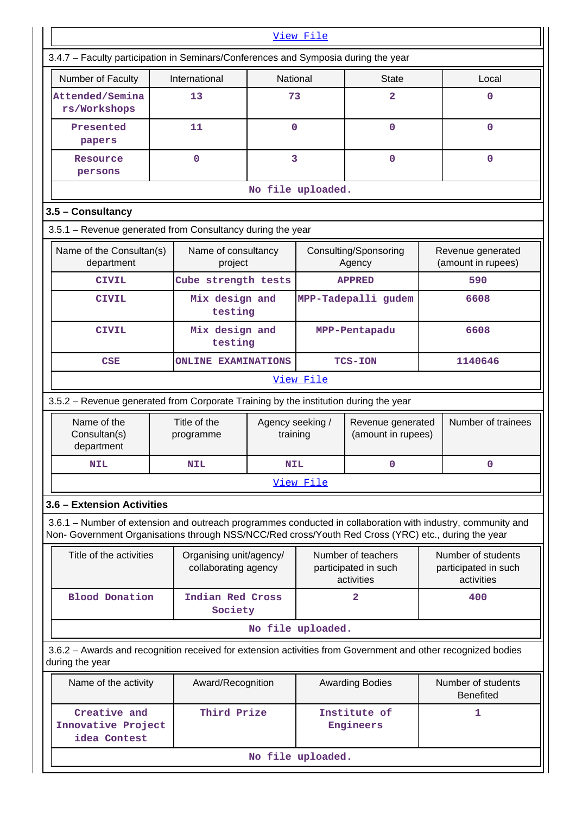|                                                                                                                                                                                                                    |                                                 |                              | View File         |                                                          |         |                                                          |  |
|--------------------------------------------------------------------------------------------------------------------------------------------------------------------------------------------------------------------|-------------------------------------------------|------------------------------|-------------------|----------------------------------------------------------|---------|----------------------------------------------------------|--|
| 3.4.7 - Faculty participation in Seminars/Conferences and Symposia during the year                                                                                                                                 |                                                 |                              |                   |                                                          |         |                                                          |  |
| Number of Faculty                                                                                                                                                                                                  | International                                   | National                     |                   | <b>State</b>                                             |         | Local                                                    |  |
| Attended/Semina<br>rs/Workshops                                                                                                                                                                                    | 13                                              | 73                           |                   | 2                                                        |         | $\Omega$                                                 |  |
| Presented<br>papers                                                                                                                                                                                                | 11                                              | 0                            |                   | 0                                                        |         | $\mathbf 0$                                              |  |
| Resource<br>persons                                                                                                                                                                                                | $\mathbf 0$                                     |                              | 3                 | 0                                                        |         | $\mathbf 0$                                              |  |
|                                                                                                                                                                                                                    |                                                 |                              | No file uploaded. |                                                          |         |                                                          |  |
| 3.5 - Consultancy                                                                                                                                                                                                  |                                                 |                              |                   |                                                          |         |                                                          |  |
| 3.5.1 - Revenue generated from Consultancy during the year                                                                                                                                                         |                                                 |                              |                   |                                                          |         |                                                          |  |
| Name of the Consultan(s)<br>department                                                                                                                                                                             | Name of consultancy<br>project                  |                              |                   | Consulting/Sponsoring<br>Agency                          |         | Revenue generated<br>(amount in rupees)                  |  |
| <b>CIVIL</b>                                                                                                                                                                                                       | Cube strength tests                             |                              |                   | <b>APPRED</b>                                            |         | 590                                                      |  |
| <b>CIVIL</b>                                                                                                                                                                                                       | Mix design and<br>testing                       |                              |                   | MPP-Tadepalli gudem                                      | 6608    |                                                          |  |
| <b>CIVIL</b>                                                                                                                                                                                                       | Mix design and<br>testing                       |                              |                   | MPP-Pentapadu                                            |         | 6608                                                     |  |
| <b>CSE</b>                                                                                                                                                                                                         | <b>ONLINE EXAMINATIONS</b>                      |                              |                   | <b>TCS-ION</b>                                           | 1140646 |                                                          |  |
|                                                                                                                                                                                                                    |                                                 |                              | View File         |                                                          |         |                                                          |  |
| 3.5.2 - Revenue generated from Corporate Training by the institution during the year                                                                                                                               |                                                 |                              |                   |                                                          |         |                                                          |  |
| Name of the<br>Consultan(s)<br>department                                                                                                                                                                          | Title of the<br>programme                       | Agency seeking /<br>training |                   | Revenue generated<br>(amount in rupees)                  |         | Number of trainees                                       |  |
| <b>NIL</b>                                                                                                                                                                                                         | <b>NIL</b>                                      | <b>NIL</b>                   |                   | 0                                                        |         | $\mathbf 0$                                              |  |
|                                                                                                                                                                                                                    |                                                 |                              | View File         |                                                          |         |                                                          |  |
| 3.6 - Extension Activities                                                                                                                                                                                         |                                                 |                              |                   |                                                          |         |                                                          |  |
| 3.6.1 – Number of extension and outreach programmes conducted in collaboration with industry, community and<br>Non- Government Organisations through NSS/NCC/Red cross/Youth Red Cross (YRC) etc., during the year |                                                 |                              |                   |                                                          |         |                                                          |  |
| Title of the activities                                                                                                                                                                                            | Organising unit/agency/<br>collaborating agency |                              |                   | Number of teachers<br>participated in such<br>activities |         | Number of students<br>participated in such<br>activities |  |
| <b>Blood Donation</b>                                                                                                                                                                                              | Indian Red Cross<br>Society                     |                              |                   | $\overline{2}$                                           |         | 400                                                      |  |
|                                                                                                                                                                                                                    |                                                 |                              | No file uploaded. |                                                          |         |                                                          |  |
| 3.6.2 - Awards and recognition received for extension activities from Government and other recognized bodies<br>during the year                                                                                    |                                                 |                              |                   |                                                          |         |                                                          |  |
| Name of the activity                                                                                                                                                                                               | Award/Recognition                               |                              |                   | <b>Awarding Bodies</b>                                   |         | Number of students<br><b>Benefited</b>                   |  |
| Creative and<br>Innovative Project<br>idea Contest                                                                                                                                                                 | Third Prize                                     |                              |                   | Institute of<br>Engineers                                | 1       |                                                          |  |
|                                                                                                                                                                                                                    |                                                 |                              | No file uploaded. |                                                          |         |                                                          |  |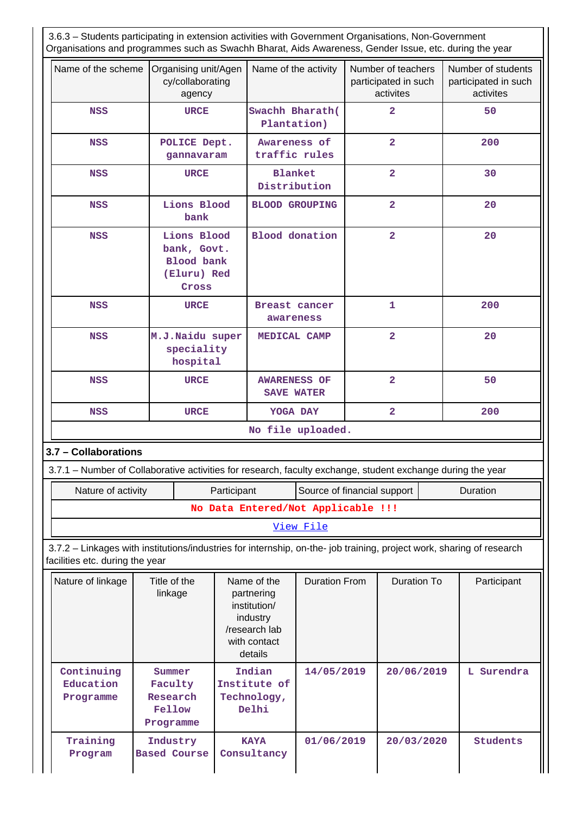3.6.3 – Students participating in extension activities with Government Organisations, Non-Government Organisations and programmes such as Swachh Bharat, Aids Awareness, Gender Issue, etc. during the year

| Name of the scheme                                                                                                                                                                                                                                                                                              |                                                      |                                                                         |             |                                                                                                   |                                    |                         |                                                         |  |                                                         |  |
|-----------------------------------------------------------------------------------------------------------------------------------------------------------------------------------------------------------------------------------------------------------------------------------------------------------------|------------------------------------------------------|-------------------------------------------------------------------------|-------------|---------------------------------------------------------------------------------------------------|------------------------------------|-------------------------|---------------------------------------------------------|--|---------------------------------------------------------|--|
|                                                                                                                                                                                                                                                                                                                 |                                                      | Organising unit/Agen<br>cy/collaborating<br>agency                      |             | Name of the activity                                                                              |                                    |                         | Number of teachers<br>participated in such<br>activites |  | Number of students<br>participated in such<br>activites |  |
| <b>NSS</b>                                                                                                                                                                                                                                                                                                      |                                                      | <b>URCE</b>                                                             |             | Swachh Bharath(<br>Plantation)                                                                    |                                    |                         | $\overline{\mathbf{2}}$                                 |  | 50                                                      |  |
| <b>NSS</b>                                                                                                                                                                                                                                                                                                      |                                                      | POLICE Dept.<br>gannavaram                                              |             | Awareness of<br>traffic rules                                                                     |                                    |                         | $\overline{\mathbf{2}}$                                 |  | 200                                                     |  |
| <b>NSS</b>                                                                                                                                                                                                                                                                                                      |                                                      | <b>URCE</b>                                                             |             | <b>Blanket</b><br>Distribution                                                                    |                                    |                         | $\overline{2}$                                          |  | 30                                                      |  |
| <b>NSS</b>                                                                                                                                                                                                                                                                                                      |                                                      | Lions Blood<br>bank                                                     |             | <b>BLOOD GROUPING</b>                                                                             |                                    |                         | $\overline{\mathbf{2}}$                                 |  | 20                                                      |  |
| <b>NSS</b>                                                                                                                                                                                                                                                                                                      |                                                      | Lions Blood<br>bank, Govt.<br><b>Blood</b> bank<br>(Eluru) Red<br>Cross |             | <b>Blood</b> donation                                                                             |                                    | $\overline{\mathbf{2}}$ |                                                         |  | 20                                                      |  |
| <b>NSS</b>                                                                                                                                                                                                                                                                                                      |                                                      | <b>URCE</b>                                                             |             | Breast cancer<br>awareness                                                                        |                                    |                         | 1                                                       |  | 200                                                     |  |
| <b>NSS</b>                                                                                                                                                                                                                                                                                                      |                                                      | M.J.Naidu super<br>speciality<br>hospital                               |             |                                                                                                   | MEDICAL CAMP                       |                         | $\overline{\mathbf{2}}$                                 |  | 20                                                      |  |
| <b>NSS</b>                                                                                                                                                                                                                                                                                                      |                                                      | <b>URCE</b>                                                             |             | <b>AWARENESS OF</b><br><b>SAVE WATER</b>                                                          |                                    |                         | $\overline{\mathbf{2}}$                                 |  | 50                                                      |  |
| <b>NSS</b>                                                                                                                                                                                                                                                                                                      | <b>URCE</b>                                          |                                                                         |             | YOGA DAY                                                                                          |                                    |                         | $\overline{\mathbf{2}}$                                 |  | 200                                                     |  |
|                                                                                                                                                                                                                                                                                                                 |                                                      |                                                                         |             |                                                                                                   | No file uploaded.                  |                         |                                                         |  |                                                         |  |
| 3.7 - Collaborations                                                                                                                                                                                                                                                                                            |                                                      |                                                                         |             |                                                                                                   |                                    |                         |                                                         |  |                                                         |  |
|                                                                                                                                                                                                                                                                                                                 |                                                      |                                                                         |             |                                                                                                   |                                    |                         |                                                         |  |                                                         |  |
|                                                                                                                                                                                                                                                                                                                 |                                                      |                                                                         |             |                                                                                                   |                                    |                         |                                                         |  |                                                         |  |
| Nature of activity                                                                                                                                                                                                                                                                                              |                                                      |                                                                         | Participant |                                                                                                   | Source of financial support        |                         |                                                         |  | Duration                                                |  |
|                                                                                                                                                                                                                                                                                                                 |                                                      |                                                                         |             |                                                                                                   | No Data Entered/Not Applicable !!! |                         |                                                         |  |                                                         |  |
|                                                                                                                                                                                                                                                                                                                 |                                                      |                                                                         |             |                                                                                                   | View File                          |                         |                                                         |  |                                                         |  |
|                                                                                                                                                                                                                                                                                                                 |                                                      |                                                                         |             |                                                                                                   |                                    |                         |                                                         |  |                                                         |  |
| Nature of linkage                                                                                                                                                                                                                                                                                               | Title of the<br>linkage                              |                                                                         |             | Name of the<br>partnering<br>institution/<br>industry<br>/research lab<br>with contact<br>details | <b>Duration From</b>               |                         | <b>Duration To</b>                                      |  | Participant                                             |  |
| 3.7.1 - Number of Collaborative activities for research, faculty exchange, student exchange during the year<br>3.7.2 - Linkages with institutions/industries for internship, on-the- job training, project work, sharing of research<br>facilities etc. during the year<br>Continuing<br>Education<br>Programme | Summer<br>Faculty<br>Research<br>Fellow<br>Programme |                                                                         |             | Indian<br>Institute of<br>Technology,<br>Delhi                                                    | 14/05/2019                         |                         | 20/06/2019                                              |  | L Surendra                                              |  |

Ш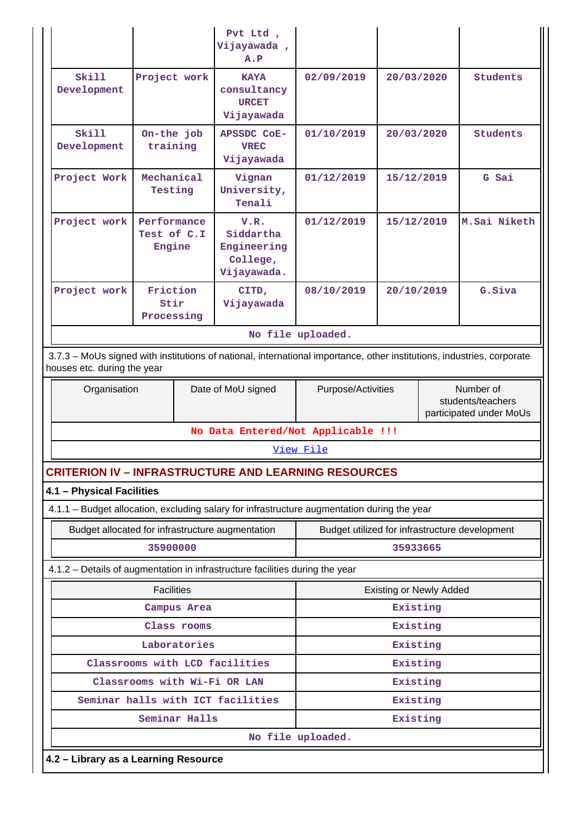|                                                                                             |                                                                                                                                                       |               | Pvt Ltd ,<br>Vijayawada,<br>A.P                             |                                                |                                |  |                                                           |  |
|---------------------------------------------------------------------------------------------|-------------------------------------------------------------------------------------------------------------------------------------------------------|---------------|-------------------------------------------------------------|------------------------------------------------|--------------------------------|--|-----------------------------------------------------------|--|
| <b>Skill</b><br>Development                                                                 | Project work                                                                                                                                          |               | <b>KAYA</b><br>consultancy<br><b>URCET</b><br>Vijayawada    | 02/09/2019                                     | 20/03/2020                     |  | <b>Students</b>                                           |  |
| <b>Skill</b><br>Development                                                                 | On-the job<br>training                                                                                                                                |               | <b>APSSDC COE-</b><br><b>VREC</b><br>Vijayawada             | 01/10/2019                                     | 20/03/2020                     |  | <b>Students</b>                                           |  |
| Project Work                                                                                | Mechanical<br>Testing                                                                                                                                 |               | Vignan<br>University,<br>Tenali                             | 01/12/2019                                     | 15/12/2019                     |  | G Sai                                                     |  |
| Project work                                                                                | Performance<br>Test of C.I<br>Engine                                                                                                                  |               | V.R.<br>Siddartha<br>Engineering<br>College,<br>Vijayawada. | 01/12/2019                                     | 15/12/2019                     |  | M.Sai Niketh                                              |  |
| Project work                                                                                | Friction<br>Stir<br>Processing                                                                                                                        |               | CITD,<br>Vijayawada                                         | 08/10/2019                                     | 20/10/2019                     |  | G. Siva                                                   |  |
| No file uploaded.                                                                           |                                                                                                                                                       |               |                                                             |                                                |                                |  |                                                           |  |
|                                                                                             | 3.7.3 - MoUs signed with institutions of national, international importance, other institutions, industries, corporate<br>houses etc. during the year |               |                                                             |                                                |                                |  |                                                           |  |
| Organisation                                                                                |                                                                                                                                                       |               | Date of MoU signed                                          | Purpose/Activities                             |                                |  | Number of<br>students/teachers<br>participated under MoUs |  |
|                                                                                             |                                                                                                                                                       |               | No Data Entered/Not Applicable !!!                          |                                                |                                |  |                                                           |  |
|                                                                                             |                                                                                                                                                       |               |                                                             | View File                                      |                                |  |                                                           |  |
| <b>CRITERION IV - INFRASTRUCTURE AND LEARNING RESOURCES</b>                                 |                                                                                                                                                       |               |                                                             |                                                |                                |  |                                                           |  |
| 4.1 - Physical Facilities                                                                   |                                                                                                                                                       |               |                                                             |                                                |                                |  |                                                           |  |
| 4.1.1 - Budget allocation, excluding salary for infrastructure augmentation during the year |                                                                                                                                                       |               |                                                             |                                                |                                |  |                                                           |  |
| Budget allocated for infrastructure augmentation                                            |                                                                                                                                                       |               |                                                             | Budget utilized for infrastructure development |                                |  |                                                           |  |
|                                                                                             | 35900000                                                                                                                                              |               |                                                             |                                                | 35933665                       |  |                                                           |  |
| 4.1.2 - Details of augmentation in infrastructure facilities during the year                |                                                                                                                                                       |               |                                                             |                                                |                                |  |                                                           |  |
|                                                                                             | <b>Facilities</b>                                                                                                                                     |               |                                                             |                                                | <b>Existing or Newly Added</b> |  |                                                           |  |
|                                                                                             |                                                                                                                                                       | Campus Area   |                                                             |                                                | Existing                       |  |                                                           |  |
|                                                                                             |                                                                                                                                                       | Class rooms   |                                                             |                                                | Existing                       |  |                                                           |  |
|                                                                                             |                                                                                                                                                       | Laboratories  |                                                             |                                                | Existing                       |  |                                                           |  |
|                                                                                             |                                                                                                                                                       |               | Classrooms with LCD facilities                              |                                                | Existing                       |  |                                                           |  |
|                                                                                             |                                                                                                                                                       |               | Classrooms with Wi-Fi OR LAN                                |                                                | Existing                       |  |                                                           |  |
|                                                                                             |                                                                                                                                                       |               | Seminar halls with ICT facilities                           |                                                | Existing                       |  |                                                           |  |
|                                                                                             |                                                                                                                                                       | Seminar Halls |                                                             |                                                | Existing                       |  |                                                           |  |
|                                                                                             |                                                                                                                                                       |               |                                                             | No file uploaded.                              |                                |  |                                                           |  |
| 4.2 - Library as a Learning Resource                                                        |                                                                                                                                                       |               |                                                             |                                                |                                |  |                                                           |  |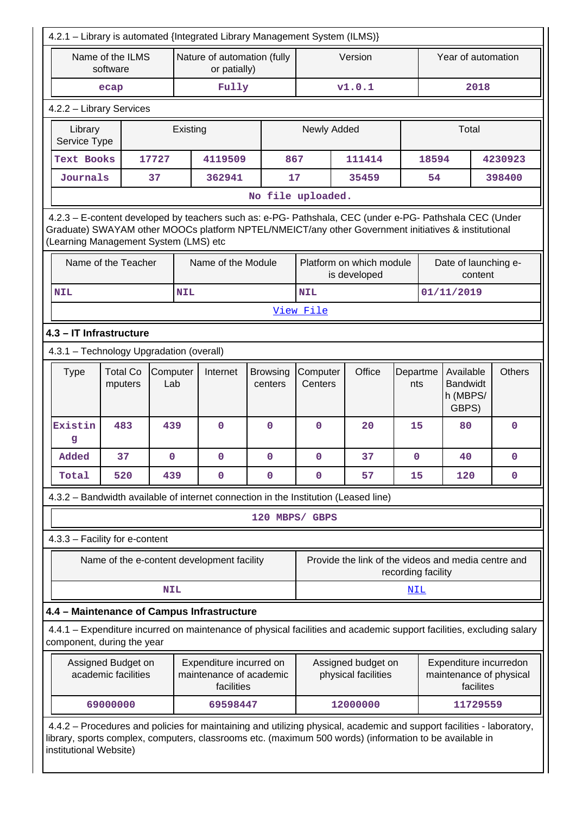| 4.2.1 - Library is automated {Integrated Library Management System (ILMS)}                                                                                                                                                                              |                                                                                       |                 |            |                                                                  |                                 |                                                                                                             |                                                                                                                       |                    |                    |                                                   |               |
|---------------------------------------------------------------------------------------------------------------------------------------------------------------------------------------------------------------------------------------------------------|---------------------------------------------------------------------------------------|-----------------|------------|------------------------------------------------------------------|---------------------------------|-------------------------------------------------------------------------------------------------------------|-----------------------------------------------------------------------------------------------------------------------|--------------------|--------------------|---------------------------------------------------|---------------|
|                                                                                                                                                                                                                                                         | Name of the ILMS<br>software                                                          |                 |            | Nature of automation (fully<br>or patially)                      |                                 |                                                                                                             | Version                                                                                                               |                    | Year of automation |                                                   |               |
|                                                                                                                                                                                                                                                         | ecap                                                                                  |                 |            | Fully                                                            |                                 |                                                                                                             | v1.0.1                                                                                                                |                    |                    | 2018                                              |               |
| 4.2.2 - Library Services                                                                                                                                                                                                                                |                                                                                       |                 |            |                                                                  |                                 |                                                                                                             |                                                                                                                       |                    |                    |                                                   |               |
| Library<br>Service Type                                                                                                                                                                                                                                 |                                                                                       |                 | Existing   |                                                                  |                                 | Newly Added                                                                                                 |                                                                                                                       |                    |                    | Total                                             |               |
| <b>Text Books</b>                                                                                                                                                                                                                                       |                                                                                       | 17727           |            | 4119509                                                          | 867                             |                                                                                                             | 111414                                                                                                                |                    | 18594              |                                                   | 4230923       |
| Journals                                                                                                                                                                                                                                                |                                                                                       | 37              |            | 362941                                                           | 17                              |                                                                                                             | 35459                                                                                                                 |                    | 54                 |                                                   | 398400        |
|                                                                                                                                                                                                                                                         |                                                                                       |                 |            |                                                                  | No file uploaded.               |                                                                                                             |                                                                                                                       |                    |                    |                                                   |               |
| 4.2.3 - E-content developed by teachers such as: e-PG- Pathshala, CEC (under e-PG- Pathshala CEC (Under<br>Graduate) SWAYAM other MOOCs platform NPTEL/NMEICT/any other Government initiatives & institutional<br>(Learning Management System (LMS) etc |                                                                                       |                 |            |                                                                  |                                 |                                                                                                             |                                                                                                                       |                    |                    |                                                   |               |
|                                                                                                                                                                                                                                                         | Platform on which module<br>Name of the Teacher<br>Name of the Module<br>is developed |                 |            |                                                                  | Date of launching e-<br>content |                                                                                                             |                                                                                                                       |                    |                    |                                                   |               |
| <b>NIL</b>                                                                                                                                                                                                                                              |                                                                                       |                 | <b>NIL</b> |                                                                  |                                 | <b>NIL</b>                                                                                                  |                                                                                                                       |                    |                    | 01/11/2019                                        |               |
|                                                                                                                                                                                                                                                         |                                                                                       |                 |            |                                                                  |                                 | View File                                                                                                   |                                                                                                                       |                    |                    |                                                   |               |
|                                                                                                                                                                                                                                                         | 4.3 - IT Infrastructure                                                               |                 |            |                                                                  |                                 |                                                                                                             |                                                                                                                       |                    |                    |                                                   |               |
| 4.3.1 - Technology Upgradation (overall)                                                                                                                                                                                                                |                                                                                       |                 |            |                                                                  |                                 |                                                                                                             |                                                                                                                       |                    |                    |                                                   |               |
| <b>Type</b>                                                                                                                                                                                                                                             | <b>Total Co</b><br>mputers                                                            | Computer<br>Lab |            | Internet                                                         | <b>Browsing</b><br>centers      | Computer<br>Centers                                                                                         | Office                                                                                                                | Departme<br>nts    |                    | Available<br><b>Bandwidt</b><br>h (MBPS/<br>GBPS) | <b>Others</b> |
| Existin<br>g                                                                                                                                                                                                                                            | 483                                                                                   | 439             |            | $\mathbf 0$                                                      | $\mathbf 0$                     | $\mathbf 0$                                                                                                 | 20                                                                                                                    | 15                 |                    | 80                                                | $\mathbf 0$   |
| Added                                                                                                                                                                                                                                                   | 37                                                                                    | $\mathbf 0$     |            | $\mathbf{0}$                                                     | $\mathbf 0$                     | $\mathbf 0$                                                                                                 | 37                                                                                                                    | $\mathbf{0}$       |                    | 40                                                | $\mathbf 0$   |
| Total                                                                                                                                                                                                                                                   | 520                                                                                   | 439             |            | $\mathbf 0$                                                      | $\mathbf 0$                     | $\mathbf 0$                                                                                                 | 57                                                                                                                    | 15                 |                    | 120                                               | $\mathbf 0$   |
|                                                                                                                                                                                                                                                         |                                                                                       |                 |            |                                                                  |                                 |                                                                                                             | 4.3.2 - Bandwidth available of internet connection in the Institution (Leased line)                                   |                    |                    |                                                   |               |
|                                                                                                                                                                                                                                                         |                                                                                       |                 |            |                                                                  | 120 MBPS/ GBPS                  |                                                                                                             |                                                                                                                       |                    |                    |                                                   |               |
| 4.3.3 - Facility for e-content                                                                                                                                                                                                                          |                                                                                       |                 |            |                                                                  |                                 |                                                                                                             |                                                                                                                       |                    |                    |                                                   |               |
|                                                                                                                                                                                                                                                         |                                                                                       |                 |            | Name of the e-content development facility                       |                                 |                                                                                                             | Provide the link of the videos and media centre and                                                                   | recording facility |                    |                                                   |               |
|                                                                                                                                                                                                                                                         |                                                                                       | <b>NIL</b>      |            |                                                                  |                                 |                                                                                                             |                                                                                                                       | NIL                |                    |                                                   |               |
| 4.4 - Maintenance of Campus Infrastructure                                                                                                                                                                                                              |                                                                                       |                 |            |                                                                  |                                 |                                                                                                             |                                                                                                                       |                    |                    |                                                   |               |
| component, during the year                                                                                                                                                                                                                              |                                                                                       |                 |            |                                                                  |                                 |                                                                                                             | 4.4.1 – Expenditure incurred on maintenance of physical facilities and academic support facilities, excluding salary  |                    |                    |                                                   |               |
|                                                                                                                                                                                                                                                         | Assigned Budget on<br>academic facilities                                             |                 |            | Expenditure incurred on<br>maintenance of academic<br>facilities |                                 | Assigned budget on<br>Expenditure incurredon<br>physical facilities<br>maintenance of physical<br>facilites |                                                                                                                       |                    |                    |                                                   |               |
|                                                                                                                                                                                                                                                         | 69000000                                                                              |                 |            | 69598447                                                         |                                 |                                                                                                             | 12000000                                                                                                              |                    |                    | 11729559                                          |               |
| library, sports complex, computers, classrooms etc. (maximum 500 words) (information to be available in<br>institutional Website)                                                                                                                       |                                                                                       |                 |            |                                                                  |                                 |                                                                                                             | 4.4.2 - Procedures and policies for maintaining and utilizing physical, academic and support facilities - laboratory, |                    |                    |                                                   |               |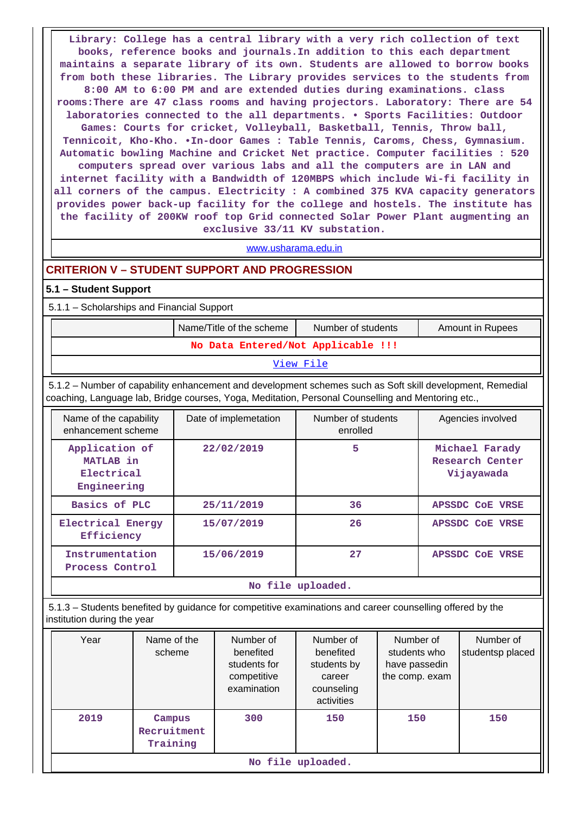**Library: College has a central library with a very rich collection of text books, reference books and journals.In addition to this each department maintains a separate library of its own. Students are allowed to borrow books from both these libraries. The Library provides services to the students from 8:00 AM to 6:00 PM and are extended duties during examinations. class rooms:There are 47 class rooms and having projectors. Laboratory: There are 54 laboratories connected to the all departments. • Sports Facilities: Outdoor Games: Courts for cricket, Volleyball, Basketball, Tennis, Throw ball, Tennicoit, Kho-Kho. •In-door Games : Table Tennis, Caroms, Chess, Gymnasium. Automatic bowling Machine and Cricket Net practice. Computer facilities : 520 computers spread over various labs and all the computers are in LAN and internet facility with a Bandwidth of 120MBPS which include Wi-fi facility in all corners of the campus. Electricity : A combined 375 KVA capacity generators provides power back-up facility for the college and hostels. The institute has the facility of 200KW roof top Grid connected Solar Power Plant augmenting an exclusive 33/11 KV substation.**

<www.usharama.edu.in>

## **CRITERION V – STUDENT SUPPORT AND PROGRESSION**

#### **5.1 – Student Support**

5.1.1 – Scholarships and Financial Support

|                                                                                                                                                                                                                 | Name/Title of the scheme           | Number of students             | Amount in Rupees                                |  |  |  |  |  |
|-----------------------------------------------------------------------------------------------------------------------------------------------------------------------------------------------------------------|------------------------------------|--------------------------------|-------------------------------------------------|--|--|--|--|--|
|                                                                                                                                                                                                                 | No Data Entered/Not Applicable !!! |                                |                                                 |  |  |  |  |  |
|                                                                                                                                                                                                                 |                                    | View File                      |                                                 |  |  |  |  |  |
| 5.1.2 – Number of capability enhancement and development schemes such as Soft skill development, Remedial<br>coaching, Language lab, Bridge courses, Yoga, Meditation, Personal Counselling and Mentoring etc., |                                    |                                |                                                 |  |  |  |  |  |
| Date of implemetation<br>Name of the capability<br>enhancement scheme                                                                                                                                           |                                    | Number of students<br>enrolled | Agencies involved                               |  |  |  |  |  |
| Application of<br>MATLAB in<br>Electrical<br>Engineering                                                                                                                                                        | 22/02/2019                         | 5                              | Michael Farady<br>Research Center<br>Vijayawada |  |  |  |  |  |
| Basics of PLC                                                                                                                                                                                                   | 25/11/2019                         | 36                             | APSSDC COE VRSE                                 |  |  |  |  |  |
| Electrical Energy<br>Efficiency                                                                                                                                                                                 | 15/07/2019                         |                                | <b>APSSDC COE VRSE</b>                          |  |  |  |  |  |
| Instrumentation<br>Process Control                                                                                                                                                                              | 15/06/2019                         | 27                             | APSSDC COE VRSE                                 |  |  |  |  |  |

**No file uploaded.**

 5.1.3 – Students benefited by guidance for competitive examinations and career counselling offered by the institution during the year

| Year | Name of the<br>scheme             | Number of<br>benefited<br>students for<br>competitive<br>examination | Number of<br>benefited<br>students by<br>career<br>counseling<br>activities | Number of<br>students who<br>have passedin<br>the comp. exam | Number of<br>studentsp placed |  |  |  |
|------|-----------------------------------|----------------------------------------------------------------------|-----------------------------------------------------------------------------|--------------------------------------------------------------|-------------------------------|--|--|--|
| 2019 | Campus<br>Recruitment<br>Training | 300                                                                  | 150                                                                         | 150                                                          | 150                           |  |  |  |
|      | No file uploaded.                 |                                                                      |                                                                             |                                                              |                               |  |  |  |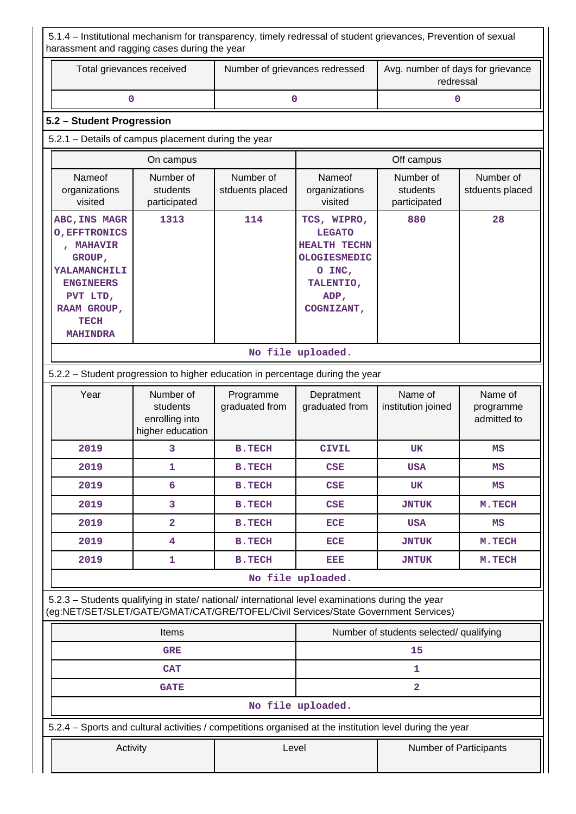5.1.4 – Institutional mechanism for transparency, timely redressal of student grievances, Prevention of sexual harassment and ragging cases during the year

| Total grievances received | Number of grievances redressed | Avg. number of days for grievance<br>redressal |
|---------------------------|--------------------------------|------------------------------------------------|
|                           |                                |                                                |

## **5.2 – Student Progression**

### 5.2.1 – Details of campus placement during the year

| On campus                                                                                                                                                   |                                       |                              | Off campus                                                                                                                     |                                       |                              |
|-------------------------------------------------------------------------------------------------------------------------------------------------------------|---------------------------------------|------------------------------|--------------------------------------------------------------------------------------------------------------------------------|---------------------------------------|------------------------------|
| Nameof<br>organizations<br>visited                                                                                                                          | Number of<br>students<br>participated | Number of<br>stduents placed | Nameof<br>organizations<br>visited                                                                                             | Number of<br>students<br>participated | Number of<br>stduents placed |
| ABC, INS MAGR<br><b>O, EFFTRONICS</b><br><b>MAHAVIR</b><br>GROUP,<br>YALAMANCHILI<br><b>ENGINEERS</b><br>PVT LTD,<br>RAAM GROUP,<br>TECH<br><b>MAHINDRA</b> | 1313                                  | 114                          | TCS, WIPRO,<br><b>LEGATO</b><br><b>HEALTH TECHN</b><br><b>OLOGIESMEDIC</b><br>O INC,<br>TALENTIO,<br>ADP,<br><b>COGNIZANT,</b> | 880                                   | 28                           |
|                                                                                                                                                             |                                       |                              | No file uploaded.                                                                                                              |                                       |                              |

## 5.2.2 – Student progression to higher education in percentage during the year

| Year | Number of<br>students<br>enrolling into<br>higher education | Programme<br>graduated from | Depratment<br>graduated from | Name of<br>institution joined | Name of<br>programme<br>admitted to |  |  |  |
|------|-------------------------------------------------------------|-----------------------------|------------------------------|-------------------------------|-------------------------------------|--|--|--|
| 2019 | 3                                                           | <b>B.TECH</b>               | <b>CIVIL</b>                 | <b>UK</b>                     | MS                                  |  |  |  |
| 2019 | 1                                                           | <b>B.TECH</b>               | <b>CSE</b>                   | <b>USA</b>                    | MS                                  |  |  |  |
| 2019 | 6                                                           | <b>B.TECH</b>               | <b>CSE</b>                   | UK                            | MS                                  |  |  |  |
| 2019 | 3                                                           | <b>B.TECH</b>               | CSE                          | <b>JNTUK</b>                  | M.TECH                              |  |  |  |
| 2019 | $\overline{a}$                                              | <b>B.TECH</b>               | ECE                          | <b>USA</b>                    | MS                                  |  |  |  |
| 2019 | 4                                                           | <b>B.TECH</b>               | <b>ECE</b>                   | <b>JNTUK</b>                  | M. TECH                             |  |  |  |
| 2019 | 1                                                           | <b>B.TECH</b>               | EEE                          | <b>JNTUK</b>                  | M.TECH                              |  |  |  |
|      | No file uploaded.                                           |                             |                              |                               |                                     |  |  |  |

 5.2.3 – Students qualifying in state/ national/ international level examinations during the year (eg:NET/SET/SLET/GATE/GMAT/CAT/GRE/TOFEL/Civil Services/State Government Services)

|            | <b>Items</b>                                                                                             |       | Number of students selected/ qualifying |                               |  |
|------------|----------------------------------------------------------------------------------------------------------|-------|-----------------------------------------|-------------------------------|--|
| <b>GRE</b> |                                                                                                          |       | 15                                      |                               |  |
| <b>CAT</b> |                                                                                                          |       |                                         |                               |  |
|            | <b>GATE</b>                                                                                              |       |                                         |                               |  |
|            |                                                                                                          |       | No file uploaded.                       |                               |  |
|            | 5.2.4 – Sports and cultural activities / competitions organised at the institution level during the year |       |                                         |                               |  |
|            | Activity                                                                                                 | Level |                                         | <b>Number of Participants</b> |  |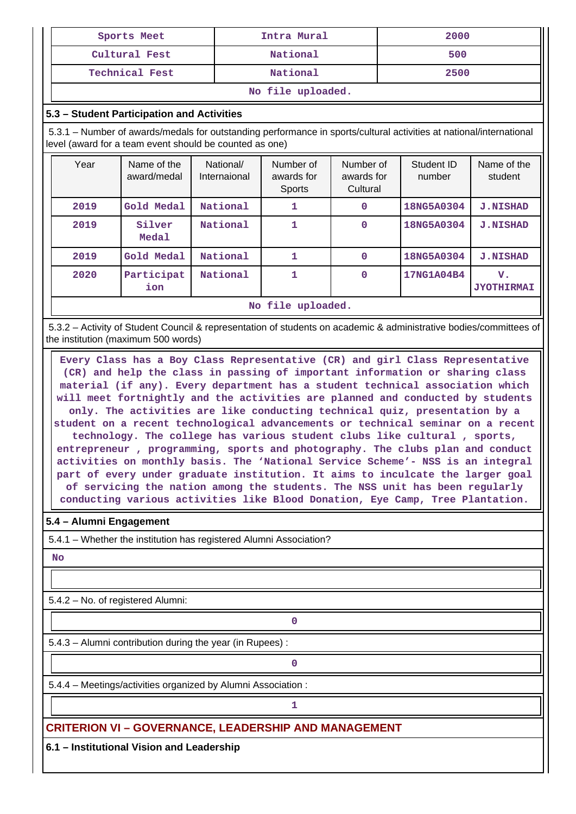| Sports Meet           | Intra Mural | 2000 |  |  |  |
|-----------------------|-------------|------|--|--|--|
| Cultural Fest         | National    | 500  |  |  |  |
| <b>Technical Fest</b> | National    | 2500 |  |  |  |
| No file uploaded.     |             |      |  |  |  |

# **5.3 – Student Participation and Activities**

 5.3.1 – Number of awards/medals for outstanding performance in sports/cultural activities at national/international level (award for a team event should be counted as one)

| Year | Name of the<br>award/medal | National/<br>Internaional | Number of<br>awards for<br><b>Sports</b> | Number of<br>awards for<br>Cultural | Student ID<br>number | Name of the<br>student  |  |
|------|----------------------------|---------------------------|------------------------------------------|-------------------------------------|----------------------|-------------------------|--|
| 2019 | Gold Medal                 | National                  |                                          | 0                                   | 18NG5A0304           | <b>J.NISHAD</b>         |  |
| 2019 | Silver<br><b>Medal</b>     | National                  | 1                                        | 0                                   | 18NG5A0304           | <b>J.NISHAD</b>         |  |
| 2019 | Gold Medal                 | National                  | 1                                        | 0                                   | 18NG5A0304           | <b>J.NISHAD</b>         |  |
| 2020 | Participat<br>ion          | National                  |                                          | $\mathbf 0$                         | 17NG1A04B4           | v.<br><b>JYOTHIRMAI</b> |  |
|      | No file uploaded.          |                           |                                          |                                     |                      |                         |  |

 5.3.2 – Activity of Student Council & representation of students on academic & administrative bodies/committees of the institution (maximum 500 words)

 **Every Class has a Boy Class Representative (CR) and girl Class Representative (CR) and help the class in passing of important information or sharing class material (if any). Every department has a student technical association which will meet fortnightly and the activities are planned and conducted by students only. The activities are like conducting technical quiz, presentation by a student on a recent technological advancements or technical seminar on a recent technology. The college has various student clubs like cultural , sports, entrepreneur , programming, sports and photography. The clubs plan and conduct activities on monthly basis. The 'National Service Scheme'- NSS is an integral part of every under graduate institution. It aims to inculcate the larger goal of servicing the nation among the students. The NSS unit has been regularly conducting various activities like Blood Donation, Eye Camp, Tree Plantation.**

#### **5.4 – Alumni Engagement**

5.4.1 – Whether the institution has registered Alumni Association?

#### **No**

5.4.2 – No. of registered Alumni:

5.4.3 – Alumni contribution during the year (in Rupees) :

**0**

**0**

5.4.4 – Meetings/activities organized by Alumni Association :

**1 1** 

**CRITERION VI – GOVERNANCE, LEADERSHIP AND MANAGEMENT**

**6.1 – Institutional Vision and Leadership**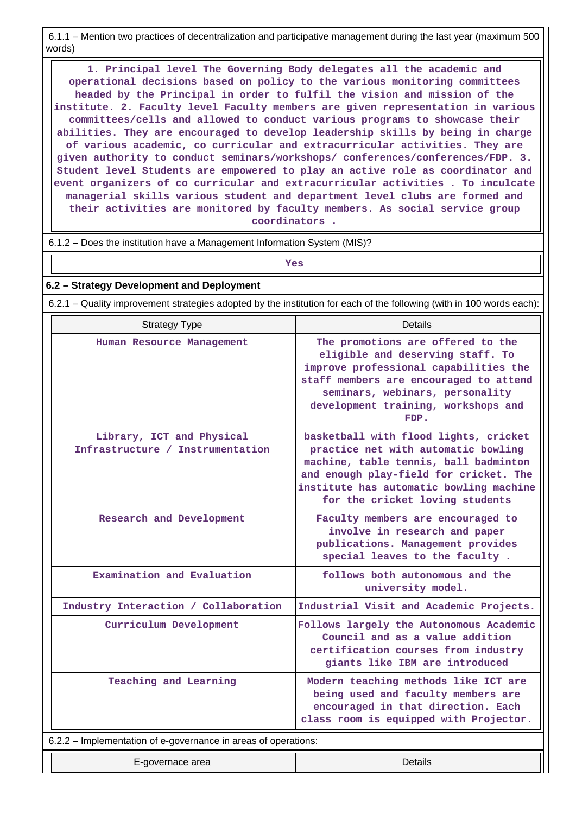6.1.1 – Mention two practices of decentralization and participative management during the last year (maximum 500 words)

 **1. Principal level The Governing Body delegates all the academic and operational decisions based on policy to the various monitoring committees headed by the Principal in order to fulfil the vision and mission of the institute. 2. Faculty level Faculty members are given representation in various committees/cells and allowed to conduct various programs to showcase their abilities. They are encouraged to develop leadership skills by being in charge of various academic, co curricular and extracurricular activities. They are given authority to conduct seminars/workshops/ conferences/conferences/FDP. 3. Student level Students are empowered to play an active role as coordinator and event organizers of co curricular and extracurricular activities . To inculcate managerial skills various student and department level clubs are formed and their activities are monitored by faculty members. As social service group coordinators .**

6.1.2 – Does the institution have a Management Information System (MIS)?

*Yes* 

**6.2 – Strategy Development and Deployment**

6.2.1 – Quality improvement strategies adopted by the institution for each of the following (with in 100 words each):

| <b>Strategy Type</b>                                           | <b>Details</b>                                                                                                                                                                                                                                |  |  |  |
|----------------------------------------------------------------|-----------------------------------------------------------------------------------------------------------------------------------------------------------------------------------------------------------------------------------------------|--|--|--|
| Human Resource Management                                      | The promotions are offered to the<br>eligible and deserving staff. To<br>improve professional capabilities the<br>staff members are encouraged to attend<br>seminars, webinars, personality<br>development training, workshops and<br>FDP.    |  |  |  |
| Library, ICT and Physical<br>Infrastructure / Instrumentation  | basketball with flood lights, cricket<br>practice net with automatic bowling<br>machine, table tennis, ball badminton<br>and enough play-field for cricket. The<br>institute has automatic bowling machine<br>for the cricket loving students |  |  |  |
| Research and Development                                       | Faculty members are encouraged to<br>involve in research and paper<br>publications. Management provides<br>special leaves to the faculty.                                                                                                     |  |  |  |
| Examination and Evaluation                                     | follows both autonomous and the<br>university model.                                                                                                                                                                                          |  |  |  |
| Industry Interaction / Collaboration                           | Industrial Visit and Academic Projects.                                                                                                                                                                                                       |  |  |  |
| Curriculum Development                                         | Follows largely the Autonomous Academic<br>Council and as a value addition<br>certification courses from industry<br>giants like IBM are introduced                                                                                           |  |  |  |
| Teaching and Learning                                          | Modern teaching methods like ICT are<br>being used and faculty members are<br>encouraged in that direction. Each<br>class room is equipped with Projector.                                                                                    |  |  |  |
| 6.2.2 - Implementation of e-governance in areas of operations: |                                                                                                                                                                                                                                               |  |  |  |
| E-governace area                                               | Details                                                                                                                                                                                                                                       |  |  |  |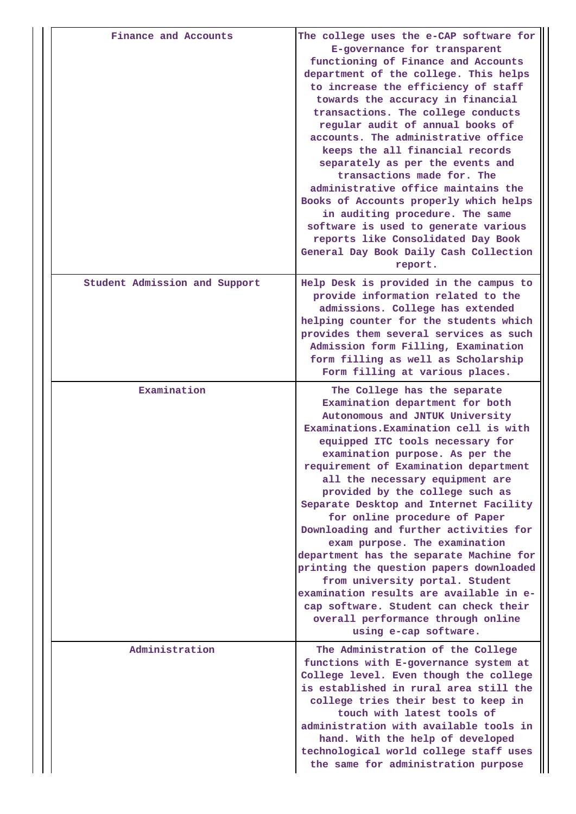| Finance and Accounts          | The college uses the e-CAP software for<br>E-governance for transparent<br>functioning of Finance and Accounts<br>department of the college. This helps<br>to increase the efficiency of staff<br>towards the accuracy in financial<br>transactions. The college conducts<br>regular audit of annual books of<br>accounts. The administrative office<br>keeps the all financial records<br>separately as per the events and<br>transactions made for. The<br>administrative office maintains the<br>Books of Accounts properly which helps<br>in auditing procedure. The same<br>software is used to generate various<br>reports like Consolidated Day Book<br>General Day Book Daily Cash Collection<br>report.                                                     |
|-------------------------------|----------------------------------------------------------------------------------------------------------------------------------------------------------------------------------------------------------------------------------------------------------------------------------------------------------------------------------------------------------------------------------------------------------------------------------------------------------------------------------------------------------------------------------------------------------------------------------------------------------------------------------------------------------------------------------------------------------------------------------------------------------------------|
| Student Admission and Support | Help Desk is provided in the campus to<br>provide information related to the<br>admissions. College has extended<br>helping counter for the students which<br>provides them several services as such<br>Admission form Filling, Examination<br>form filling as well as Scholarship<br>Form filling at various places.                                                                                                                                                                                                                                                                                                                                                                                                                                                |
| Examination                   | The College has the separate<br>Examination department for both<br>Autonomous and JNTUK University<br>Examinations. Examination cell is with<br>equipped ITC tools necessary for<br>examination purpose. As per the<br>requirement of Examination department<br>all the necessary equipment are<br>provided by the college such as<br>Separate Desktop and Internet Facility<br>for online procedure of Paper<br>Downloading and further activities for<br>exam purpose. The examination<br>department has the separate Machine for<br>printing the question papers downloaded<br>from university portal. Student<br>examination results are available in e-<br>cap software. Student can check their<br>overall performance through online<br>using e-cap software. |
| Administration                | The Administration of the College<br>functions with E-governance system at<br>College level. Even though the college<br>is established in rural area still the<br>college tries their best to keep in<br>touch with latest tools of<br>administration with available tools in<br>hand. With the help of developed<br>technological world college staff uses<br>the same for administration purpose                                                                                                                                                                                                                                                                                                                                                                   |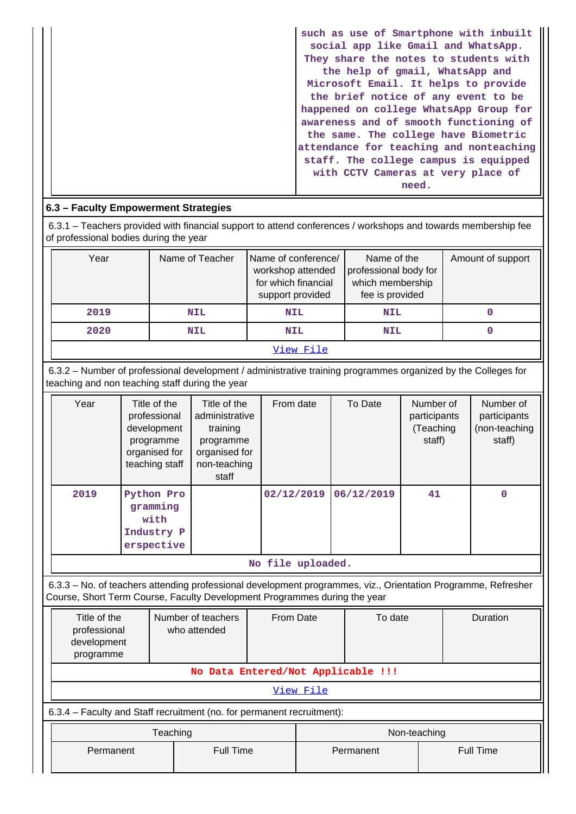| such as use of Smartphone with inbuilt<br>social app like Gmail and WhatsApp. |
|-------------------------------------------------------------------------------|
| They share the notes to students with                                         |
| the help of gmail, WhatsApp and                                               |
| Microsoft Email. It helps to provide                                          |
| the brief notice of any event to be                                           |
| happened on college WhatsApp Group for                                        |
| awareness and of smooth functioning of                                        |
| the same. The college have Biometric                                          |
| attendance for teaching and nonteaching                                       |
| staff. The college campus is equipped                                         |
| with CCTV Cameras at very place of                                            |
| need.                                                                         |

## **6.3 – Faculty Empowerment Strategies**

 6.3.1 – Teachers provided with financial support to attend conferences / workshops and towards membership fee of professional bodies during the year

| Year      | Name of Teacher | Name of conference/<br>workshop attended<br>for which financial<br>support provided | Name of the<br>professional body for<br>which membership<br>fee is provided | Amount of support |  |  |  |
|-----------|-----------------|-------------------------------------------------------------------------------------|-----------------------------------------------------------------------------|-------------------|--|--|--|
| 2019      | <b>NIL</b>      | <b>NIL</b>                                                                          | <b>NIL</b>                                                                  |                   |  |  |  |
| 2020      | <b>NIL</b>      | <b>NIL</b>                                                                          | <b>NIL</b>                                                                  |                   |  |  |  |
| View File |                 |                                                                                     |                                                                             |                   |  |  |  |

 6.3.2 – Number of professional development / administrative training programmes organized by the Colleges for teaching and non teaching staff during the year

| Year | Title of the<br>professional<br>development<br>programme<br>organised for<br>teaching staff | Title of the<br>administrative<br>training<br>programme<br>organised for<br>non-teaching<br>staff | From date  | To Date    | Number of<br>participants<br>(Teaching<br>staff) | Number of<br>participants<br>(non-teaching<br>staff) |  |
|------|---------------------------------------------------------------------------------------------|---------------------------------------------------------------------------------------------------|------------|------------|--------------------------------------------------|------------------------------------------------------|--|
| 2019 | Python Pro<br>gramming<br>with<br>Industry P<br>erspective                                  |                                                                                                   | 02/12/2019 | 06/12/2019 | 41                                               | 0                                                    |  |
|      | No file uploaded.                                                                           |                                                                                                   |            |            |                                                  |                                                      |  |

6.3.3 – No. of teachers attending professional development programmes, viz., Orientation Programme, Refresher

Course, Short Term Course, Faculty Development Programmes during the year

| Title of the<br>professional<br>development<br>programme               | Number of teachers<br>who attended | From Date | To date      | Duration         |  |
|------------------------------------------------------------------------|------------------------------------|-----------|--------------|------------------|--|
| No Data Entered/Not Applicable !!!                                     |                                    |           |              |                  |  |
|                                                                        |                                    | View File |              |                  |  |
| 6.3.4 – Faculty and Staff recruitment (no. for permanent recruitment): |                                    |           |              |                  |  |
|                                                                        | Teaching                           |           | Non-teaching |                  |  |
| Permanent                                                              | <b>Full Time</b>                   |           | Permanent    | <b>Full Time</b> |  |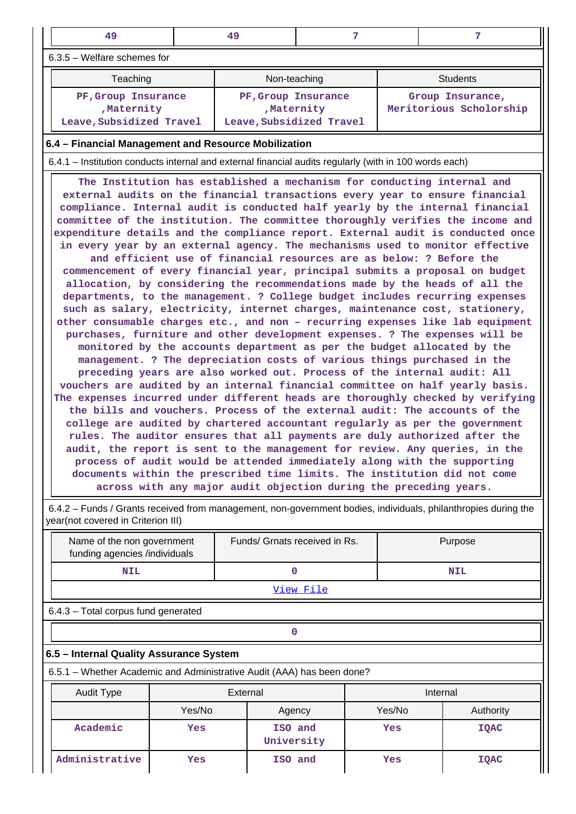| 49                                                                | 49                                                             | 7                                                                                                                                                                                                                                                                                                                                                                                                                                                                                                                                                                                                                                                                                                                                                                                                                                                                                                                                                                                                                                                                                                                                                                                                                                                                                                                                                                                                                                                                                                                                                                                                                                                                                                                                                                                                                                                                                                                                                                                                                                                                       |  | 7                                           |  |  |
|-------------------------------------------------------------------|----------------------------------------------------------------|-------------------------------------------------------------------------------------------------------------------------------------------------------------------------------------------------------------------------------------------------------------------------------------------------------------------------------------------------------------------------------------------------------------------------------------------------------------------------------------------------------------------------------------------------------------------------------------------------------------------------------------------------------------------------------------------------------------------------------------------------------------------------------------------------------------------------------------------------------------------------------------------------------------------------------------------------------------------------------------------------------------------------------------------------------------------------------------------------------------------------------------------------------------------------------------------------------------------------------------------------------------------------------------------------------------------------------------------------------------------------------------------------------------------------------------------------------------------------------------------------------------------------------------------------------------------------------------------------------------------------------------------------------------------------------------------------------------------------------------------------------------------------------------------------------------------------------------------------------------------------------------------------------------------------------------------------------------------------------------------------------------------------------------------------------------------------|--|---------------------------------------------|--|--|
| 6.3.5 - Welfare schemes for                                       |                                                                |                                                                                                                                                                                                                                                                                                                                                                                                                                                                                                                                                                                                                                                                                                                                                                                                                                                                                                                                                                                                                                                                                                                                                                                                                                                                                                                                                                                                                                                                                                                                                                                                                                                                                                                                                                                                                                                                                                                                                                                                                                                                         |  |                                             |  |  |
| Teaching                                                          | Non-teaching                                                   |                                                                                                                                                                                                                                                                                                                                                                                                                                                                                                                                                                                                                                                                                                                                                                                                                                                                                                                                                                                                                                                                                                                                                                                                                                                                                                                                                                                                                                                                                                                                                                                                                                                                                                                                                                                                                                                                                                                                                                                                                                                                         |  | <b>Students</b>                             |  |  |
| PF, Group Insurance<br>, Maternity<br>Leave, Subsidized Travel    | PF, Group Insurance<br>, Maternity<br>Leave, Subsidized Travel |                                                                                                                                                                                                                                                                                                                                                                                                                                                                                                                                                                                                                                                                                                                                                                                                                                                                                                                                                                                                                                                                                                                                                                                                                                                                                                                                                                                                                                                                                                                                                                                                                                                                                                                                                                                                                                                                                                                                                                                                                                                                         |  | Group Insurance,<br>Meritorious Scholorship |  |  |
| 6.4 - Financial Management and Resource Mobilization              |                                                                |                                                                                                                                                                                                                                                                                                                                                                                                                                                                                                                                                                                                                                                                                                                                                                                                                                                                                                                                                                                                                                                                                                                                                                                                                                                                                                                                                                                                                                                                                                                                                                                                                                                                                                                                                                                                                                                                                                                                                                                                                                                                         |  |                                             |  |  |
|                                                                   |                                                                |                                                                                                                                                                                                                                                                                                                                                                                                                                                                                                                                                                                                                                                                                                                                                                                                                                                                                                                                                                                                                                                                                                                                                                                                                                                                                                                                                                                                                                                                                                                                                                                                                                                                                                                                                                                                                                                                                                                                                                                                                                                                         |  |                                             |  |  |
| across with any major audit objection during the preceding years. |                                                                | 6.4.1 – Institution conducts internal and external financial audits regularly (with in 100 words each)<br>The Institution has established a mechanism for conducting internal and<br>external audits on the financial transactions every year to ensure financial<br>compliance. Internal audit is conducted half yearly by the internal financial<br>committee of the institution. The committee thoroughly verifies the income and<br>expenditure details and the compliance report. External audit is conducted once<br>in every year by an external agency. The mechanisms used to monitor effective<br>and efficient use of financial resources are as below: ? Before the<br>commencement of every financial year, principal submits a proposal on budget<br>allocation, by considering the recommendations made by the heads of all the<br>departments, to the management. ? College budget includes recurring expenses<br>such as salary, electricity, internet charges, maintenance cost, stationery,<br>other consumable charges etc., and non - recurring expenses like lab equipment<br>purchases, furniture and other development expenses. ? The expenses will be<br>monitored by the accounts department as per the budget allocated by the<br>management. ? The depreciation costs of various things purchased in the<br>preceding years are also worked out. Process of the internal audit: All<br>vouchers are audited by an internal financial committee on half yearly basis.<br>The expenses incurred under different heads are thoroughly checked by verifying<br>the bills and vouchers. Process of the external audit: The accounts of the<br>college are audited by chartered accountant regularly as per the government<br>rules. The auditor ensures that all payments are duly authorized after the<br>audit, the report is sent to the management for review. Any queries, in the<br>process of audit would be attended immediately along with the supporting<br>documents within the prescribed time limits. The institution did not come |  |                                             |  |  |

| 6.4.2 – Funds / Grants received from management, non-government bodies, individuals, philanthropies during the |  |
|----------------------------------------------------------------------------------------------------------------|--|
| year(not covered in Criterion III)                                                                             |  |

|                                     | Name of the non government<br>funding agencies /individuals            |        |          | Funds/ Grnats received in Rs. |  | Purpose    |             |  |
|-------------------------------------|------------------------------------------------------------------------|--------|----------|-------------------------------|--|------------|-------------|--|
|                                     | <b>NIL</b>                                                             |        | $\Omega$ |                               |  | <b>NIL</b> |             |  |
|                                     | <u>View File</u>                                                       |        |          |                               |  |            |             |  |
| 6.4.3 - Total corpus fund generated |                                                                        |        |          |                               |  |            |             |  |
|                                     | O                                                                      |        |          |                               |  |            |             |  |
|                                     | 6.5 - Internal Quality Assurance System                                |        |          |                               |  |            |             |  |
|                                     | 6.5.1 – Whether Academic and Administrative Audit (AAA) has been done? |        |          |                               |  |            |             |  |
|                                     | Audit Type                                                             |        | External |                               |  | Internal   |             |  |
|                                     |                                                                        | Yes/No |          | Agency                        |  | Yes/No     | Authority   |  |
|                                     | Academic                                                               | Yes    |          | ISO and<br>University         |  | Yes        | <b>IQAC</b> |  |
|                                     | Administrative                                                         | Yes    |          | ISO and                       |  | Yes        | <b>IQAC</b> |  |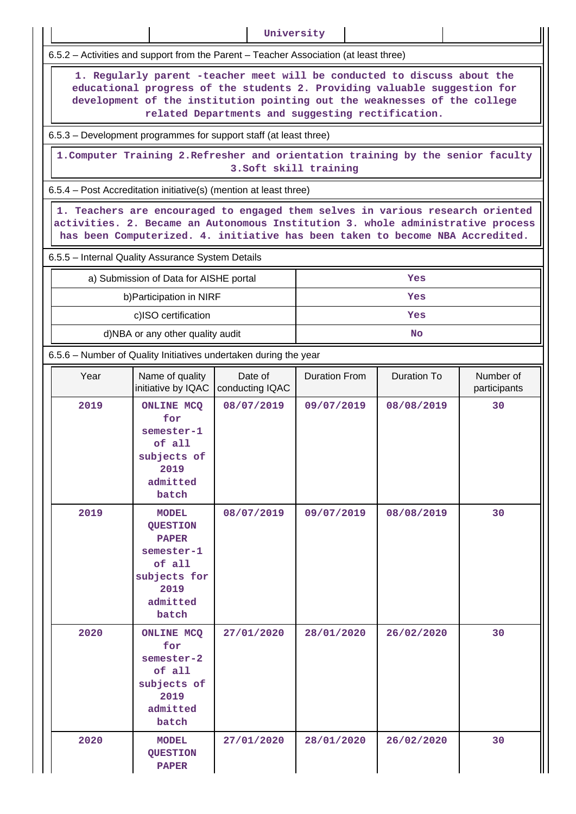|                                                                                                                                                                                                                                                                                         |                                                                                                                      | University                 |                      |                    |                           |  |  |  |  |
|-----------------------------------------------------------------------------------------------------------------------------------------------------------------------------------------------------------------------------------------------------------------------------------------|----------------------------------------------------------------------------------------------------------------------|----------------------------|----------------------|--------------------|---------------------------|--|--|--|--|
| 6.5.2 - Activities and support from the Parent - Teacher Association (at least three)                                                                                                                                                                                                   |                                                                                                                      |                            |                      |                    |                           |  |  |  |  |
| 1. Regularly parent -teacher meet will be conducted to discuss about the<br>educational progress of the students 2. Providing valuable suggestion for<br>development of the institution pointing out the weaknesses of the college<br>related Departments and suggesting rectification. |                                                                                                                      |                            |                      |                    |                           |  |  |  |  |
| 6.5.3 – Development programmes for support staff (at least three)                                                                                                                                                                                                                       |                                                                                                                      |                            |                      |                    |                           |  |  |  |  |
| 1. Computer Training 2. Refresher and orientation training by the senior faculty<br>3. Soft skill training                                                                                                                                                                              |                                                                                                                      |                            |                      |                    |                           |  |  |  |  |
| 6.5.4 – Post Accreditation initiative(s) (mention at least three)                                                                                                                                                                                                                       |                                                                                                                      |                            |                      |                    |                           |  |  |  |  |
| 1. Teachers are encouraged to engaged them selves in various research oriented<br>activities. 2. Became an Autonomous Institution 3. whole administrative process<br>has been Computerized. 4. initiative has been taken to become NBA Accredited.                                      |                                                                                                                      |                            |                      |                    |                           |  |  |  |  |
| 6.5.5 - Internal Quality Assurance System Details                                                                                                                                                                                                                                       |                                                                                                                      |                            |                      |                    |                           |  |  |  |  |
|                                                                                                                                                                                                                                                                                         | a) Submission of Data for AISHE portal                                                                               |                            |                      | Yes                |                           |  |  |  |  |
|                                                                                                                                                                                                                                                                                         | b) Participation in NIRF                                                                                             |                            |                      | Yes                |                           |  |  |  |  |
|                                                                                                                                                                                                                                                                                         | c)ISO certification                                                                                                  |                            |                      | Yes                |                           |  |  |  |  |
|                                                                                                                                                                                                                                                                                         | d)NBA or any other quality audit                                                                                     |                            |                      | <b>No</b>          |                           |  |  |  |  |
| 6.5.6 - Number of Quality Initiatives undertaken during the year                                                                                                                                                                                                                        |                                                                                                                      |                            |                      |                    |                           |  |  |  |  |
| Year                                                                                                                                                                                                                                                                                    | Name of quality<br>initiative by IQAC                                                                                | Date of<br>conducting IQAC | <b>Duration From</b> | <b>Duration To</b> | Number of<br>participants |  |  |  |  |
| 2019                                                                                                                                                                                                                                                                                    | <b>ONLINE MCQ</b><br>for<br>semester-1<br>of all<br>subjects of<br>2019<br>admitted<br>batch                         | 08/07/2019                 | 09/07/2019           | 08/08/2019         | 30                        |  |  |  |  |
| 2019                                                                                                                                                                                                                                                                                    | <b>MODEL</b><br><b>QUESTION</b><br><b>PAPER</b><br>semester-1<br>of all<br>subjects for<br>2019<br>admitted<br>batch | 08/07/2019                 | 09/07/2019           | 08/08/2019         | 30                        |  |  |  |  |
| 2020                                                                                                                                                                                                                                                                                    | <b>ONLINE MCQ</b><br>for<br>semester-2<br>of all<br>subjects of<br>2019<br>admitted<br>batch                         | 27/01/2020                 | 28/01/2020           | 26/02/2020         | 30                        |  |  |  |  |
| 2020                                                                                                                                                                                                                                                                                    | <b>MODEL</b><br><b>QUESTION</b><br><b>PAPER</b>                                                                      | 27/01/2020                 | 28/01/2020           | 26/02/2020         | 30                        |  |  |  |  |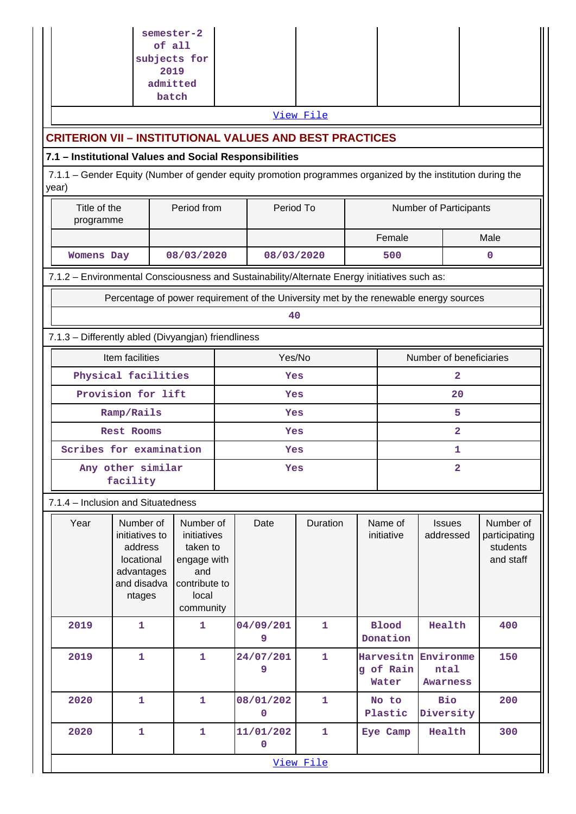|                                                                                                                                                                                | of all<br>subjects for<br>2019                                                              | semester-2<br>admitted<br>batch                                                                   |           |                          | View File    |                         |                                 |                                      |                                                     |  |
|--------------------------------------------------------------------------------------------------------------------------------------------------------------------------------|---------------------------------------------------------------------------------------------|---------------------------------------------------------------------------------------------------|-----------|--------------------------|--------------|-------------------------|---------------------------------|--------------------------------------|-----------------------------------------------------|--|
|                                                                                                                                                                                |                                                                                             |                                                                                                   |           |                          |              |                         |                                 |                                      |                                                     |  |
| <b>CRITERION VII - INSTITUTIONAL VALUES AND BEST PRACTICES</b>                                                                                                                 |                                                                                             |                                                                                                   |           |                          |              |                         |                                 |                                      |                                                     |  |
| 7.1 - Institutional Values and Social Responsibilities<br>7.1.1 - Gender Equity (Number of gender equity promotion programmes organized by the institution during the<br>year) |                                                                                             |                                                                                                   |           |                          |              |                         |                                 |                                      |                                                     |  |
| Title of the<br>programme                                                                                                                                                      |                                                                                             | Period from                                                                                       | Period To |                          |              | Number of Participants  |                                 |                                      |                                                     |  |
|                                                                                                                                                                                |                                                                                             |                                                                                                   |           |                          |              |                         | Female                          |                                      | Male                                                |  |
| <b>Womens Day</b>                                                                                                                                                              |                                                                                             | 08/03/2020                                                                                        |           | 08/03/2020               |              |                         | 500                             |                                      | $\mathbf 0$                                         |  |
| 7.1.2 - Environmental Consciousness and Sustainability/Alternate Energy initiatives such as:                                                                                   |                                                                                             |                                                                                                   |           |                          |              |                         |                                 |                                      |                                                     |  |
|                                                                                                                                                                                | Percentage of power requirement of the University met by the renewable energy sources       |                                                                                                   |           |                          |              |                         |                                 |                                      |                                                     |  |
|                                                                                                                                                                                |                                                                                             |                                                                                                   |           | 40                       |              |                         |                                 |                                      |                                                     |  |
| 7.1.3 - Differently abled (Divyangjan) friendliness                                                                                                                            |                                                                                             |                                                                                                   |           |                          |              |                         |                                 |                                      |                                                     |  |
|                                                                                                                                                                                | Item facilities                                                                             |                                                                                                   | Yes/No    |                          |              | Number of beneficiaries |                                 |                                      |                                                     |  |
|                                                                                                                                                                                | Physical facilities<br>Provision for lift                                                   |                                                                                                   |           |                          | Yes<br>Yes   |                         |                                 | 2<br>20                              |                                                     |  |
|                                                                                                                                                                                | Ramp/Rails                                                                                  |                                                                                                   |           | Yes                      |              |                         | 5                               |                                      |                                                     |  |
|                                                                                                                                                                                | Rest Rooms                                                                                  |                                                                                                   | Yes       |                          |              | 2                       |                                 |                                      |                                                     |  |
|                                                                                                                                                                                | Scribes for examination                                                                     |                                                                                                   |           |                          | Yes          |                         |                                 | 1                                    |                                                     |  |
| Any other similar<br>facility                                                                                                                                                  |                                                                                             |                                                                                                   |           | Yes                      |              |                         | $\overline{2}$                  |                                      |                                                     |  |
| 7.1.4 - Inclusion and Situatedness                                                                                                                                             |                                                                                             |                                                                                                   |           |                          |              |                         |                                 |                                      |                                                     |  |
| Year                                                                                                                                                                           | Number of<br>initiatives to<br>address<br>locational<br>advantages<br>and disadva<br>ntages | Number of<br>initiatives<br>taken to<br>engage with<br>and<br>contribute to<br>local<br>community |           | Date                     | Duration     |                         | Name of<br>initiative           | <b>Issues</b><br>addressed           | Number of<br>participating<br>students<br>and staff |  |
| 2019                                                                                                                                                                           | $\mathbf{1}$                                                                                | $\mathbf{1}$                                                                                      |           | 04/09/201<br>9           | $\mathbf{1}$ |                         | <b>Blood</b><br>Donation        | Health                               | 400                                                 |  |
| 2019                                                                                                                                                                           | $\mathbf{1}$                                                                                | 1                                                                                                 |           | 24/07/201<br>9           | $\mathbf{1}$ |                         | Harvesitn<br>g of Rain<br>Water | Environme<br>ntal<br><b>Awarness</b> | 150                                                 |  |
| 2020                                                                                                                                                                           | $\mathbf{1}$                                                                                | 1                                                                                                 |           | 08/01/202<br>0           | $\mathbf{1}$ |                         | No to<br>Plastic                | <b>Bio</b><br>Diversity              | 200                                                 |  |
| 2020                                                                                                                                                                           | $\mathbf{1}$                                                                                | 1                                                                                                 |           | 11/01/202<br>$\mathbf 0$ | $\mathbf{1}$ |                         | Eye Camp                        | Health                               | 300                                                 |  |
|                                                                                                                                                                                |                                                                                             |                                                                                                   |           |                          | View File    |                         |                                 |                                      |                                                     |  |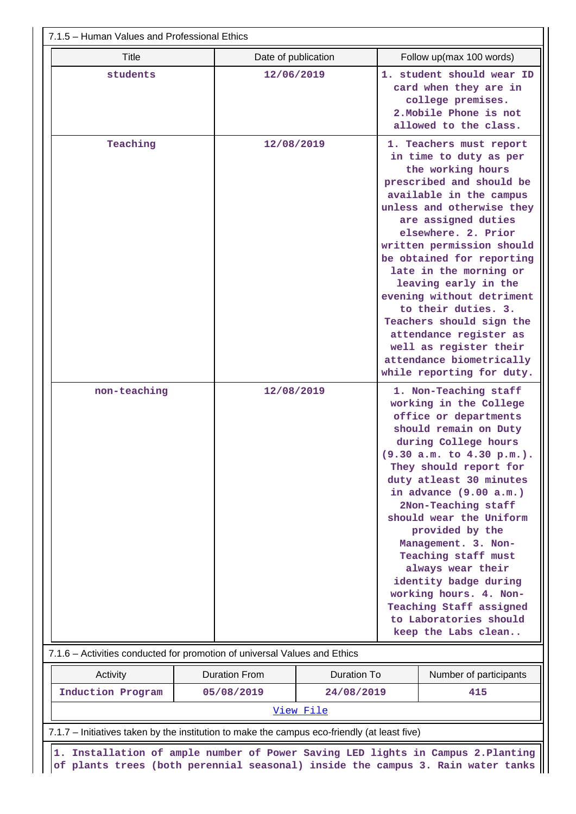| 7.1.5 - Human Values and Professional Ethics                                                                                                                        |                      |             |                                                                                                                                                                                                                                                                                                                                                                                                                                                                                                                   |                                                                                                                                                                                                                                                                                         |  |  |  |
|---------------------------------------------------------------------------------------------------------------------------------------------------------------------|----------------------|-------------|-------------------------------------------------------------------------------------------------------------------------------------------------------------------------------------------------------------------------------------------------------------------------------------------------------------------------------------------------------------------------------------------------------------------------------------------------------------------------------------------------------------------|-----------------------------------------------------------------------------------------------------------------------------------------------------------------------------------------------------------------------------------------------------------------------------------------|--|--|--|
| <b>Title</b>                                                                                                                                                        | Date of publication  |             |                                                                                                                                                                                                                                                                                                                                                                                                                                                                                                                   | Follow up(max 100 words)                                                                                                                                                                                                                                                                |  |  |  |
| students                                                                                                                                                            | 12/06/2019           |             | 1. student should wear ID<br>card when they are in<br>college premises.<br>2. Mobile Phone is not<br>allowed to the class.                                                                                                                                                                                                                                                                                                                                                                                        |                                                                                                                                                                                                                                                                                         |  |  |  |
| Teaching                                                                                                                                                            | 12/08/2019           |             | 1. Teachers must report<br>in time to duty as per<br>the working hours<br>prescribed and should be<br>available in the campus<br>unless and otherwise they<br>are assigned duties<br>elsewhere. 2. Prior<br>written permission should<br>be obtained for reporting<br>late in the morning or<br>leaving early in the<br>evening without detriment<br>to their duties. 3.<br>Teachers should sign the<br>attendance register as<br>well as register their<br>attendance biometrically<br>while reporting for duty. |                                                                                                                                                                                                                                                                                         |  |  |  |
| non-teaching                                                                                                                                                        |                      | 12/08/2019  |                                                                                                                                                                                                                                                                                                                                                                                                                                                                                                                   | 1. Non-Teaching staff<br>working in the College<br>office or departments<br>should remain on Duty<br>during College hours<br>(9.30 a.m. to 4.30 p.m.).<br>They should report for<br>duty atleast 30 minutes<br>in advance (9.00 a.m.)<br>2Non-Teaching staff<br>should wear the Uniform |  |  |  |
|                                                                                                                                                                     |                      |             | provided by the<br>Management. 3. Non-<br>Teaching staff must<br>always wear their<br>identity badge during<br>working hours. 4. Non-<br>Teaching Staff assigned<br>to Laboratories should<br>keep the Labs clean                                                                                                                                                                                                                                                                                                 |                                                                                                                                                                                                                                                                                         |  |  |  |
| 7.1.6 - Activities conducted for promotion of universal Values and Ethics                                                                                           |                      |             |                                                                                                                                                                                                                                                                                                                                                                                                                                                                                                                   |                                                                                                                                                                                                                                                                                         |  |  |  |
| Activity                                                                                                                                                            | <b>Duration From</b> | Duration To |                                                                                                                                                                                                                                                                                                                                                                                                                                                                                                                   | Number of participants                                                                                                                                                                                                                                                                  |  |  |  |
| Induction Program                                                                                                                                                   | 05/08/2019           | 24/08/2019  |                                                                                                                                                                                                                                                                                                                                                                                                                                                                                                                   | 415                                                                                                                                                                                                                                                                                     |  |  |  |
| View File                                                                                                                                                           |                      |             |                                                                                                                                                                                                                                                                                                                                                                                                                                                                                                                   |                                                                                                                                                                                                                                                                                         |  |  |  |
| 7.1.7 – Initiatives taken by the institution to make the campus eco-friendly (at least five)                                                                        |                      |             |                                                                                                                                                                                                                                                                                                                                                                                                                                                                                                                   |                                                                                                                                                                                                                                                                                         |  |  |  |
| 1. Installation of ample number of Power Saving LED lights in Campus 2. Planting<br>of plants trees (both perennial seasonal) inside the campus 3. Rain water tanks |                      |             |                                                                                                                                                                                                                                                                                                                                                                                                                                                                                                                   |                                                                                                                                                                                                                                                                                         |  |  |  |